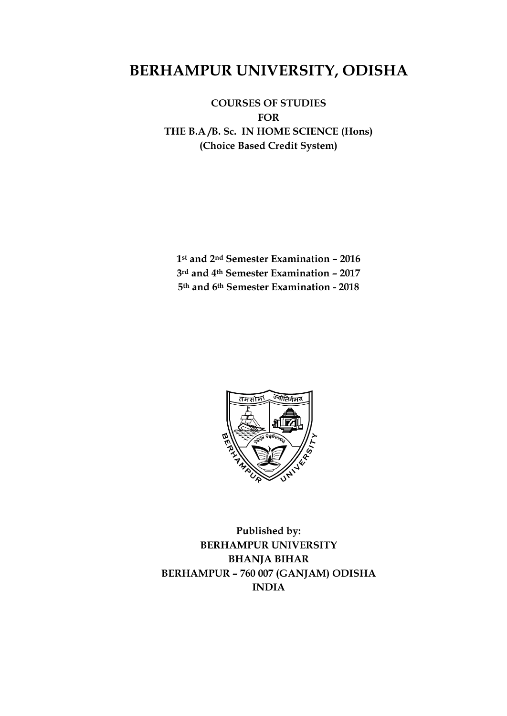# **BERHAMPUR UNIVERSITY, ODISHA**

**COURSES OF STUDIES FOR THE B.A /B. Sc. IN HOME SCIENCE (Hons) (Choice Based Credit System)**

**1st and 2nd Semester Examination – 2016 3rd and 4th Semester Examination – 2017 5th and 6th Semester Examination - 2018**



**Published by: BERHAMPUR UNIVERSITY BHANJA BIHAR BERHAMPUR – 760 007 (GANJAM) ODISHA INDIA**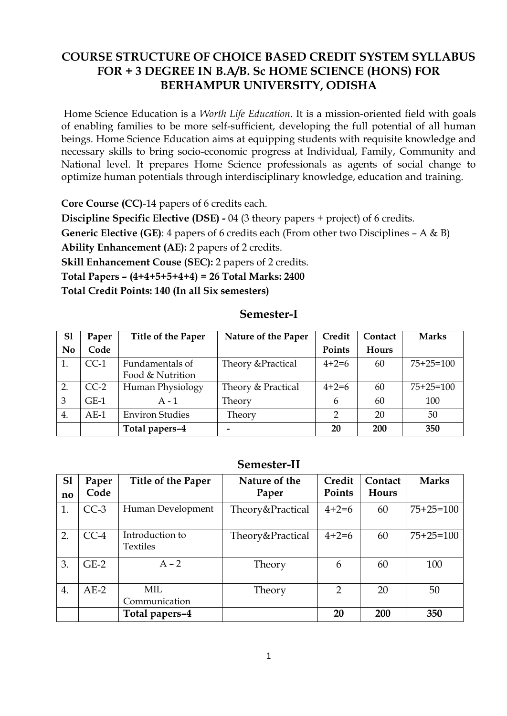## **COURSE STRUCTURE OF CHOICE BASED CREDIT SYSTEM SYLLABUS FOR + 3 DEGREE IN B.A/B. Sc HOME SCIENCE (HONS) FOR BERHAMPUR UNIVERSITY, ODISHA**

Home Science Education is a *Worth Life Education*. It is a mission-oriented field with goals of enabling families to be more self-sufficient, developing the full potential of all human beings. Home Science Education aims at equipping students with requisite knowledge and necessary skills to bring socio-economic progress at Individual, Family, Community and National level. It prepares Home Science professionals as agents of social change to optimize human potentials through interdisciplinary knowledge, education and training.

**Core Course (CC)**-14 papers of 6 credits each.

**Discipline Specific Elective (DSE) -** 04 (3 theory papers + project) of 6 credits.

**Generic Elective (GE)**: 4 papers of 6 credits each (From other two Disciplines – A & B)

**Ability Enhancement (AE):** 2 papers of 2 credits.

**Skill Enhancement Couse (SEC):** 2 papers of 2 credits.

**Total Papers – (4+4+5+5+4+4) = 26 Total Marks: 2400** 

**Total Credit Points: 140 (In all Six semesters)**

#### **Semester-I**

| S <sub>1</sub> | Paper  | Title of the Paper     | Nature of the Paper | Credit  | Contact      | <b>Marks</b> |
|----------------|--------|------------------------|---------------------|---------|--------------|--------------|
| N <sub>0</sub> | Code   |                        |                     | Points  | <b>Hours</b> |              |
| 1.             | $CC-1$ | Fundamentals of        | Theory & Practical  | $4+2=6$ | 60           | $75+25=100$  |
|                |        | Food & Nutrition       |                     |         |              |              |
| 2.             | $CC-2$ | Human Physiology       | Theory & Practical  | $4+2=6$ | 60           | $75+25=100$  |
| 3              | $GE-1$ | $A - 1$                | Theory              | 6       | 60           | 100          |
| 4.             | $AE-1$ | <b>Environ Studies</b> | Theory              | C       | 20           | 50           |
|                |        | Total papers-4         |                     | 20      | 200          | 350          |

#### **Semester-II**

| S <sub>1</sub> | Paper<br>Code | Title of the Paper          | Nature of the    | Credit<br>Points | Contact<br><b>Hours</b> | <b>Marks</b>    |
|----------------|---------------|-----------------------------|------------------|------------------|-------------------------|-----------------|
| no             |               |                             | Paper            |                  |                         |                 |
| 1.             | $CC-3$        | Human Development           | Theory&Practical | $4 + 2 = 6$      | 60                      | $75+25=100$     |
| 2.             | $CC-4$        | Introduction to<br>Textiles | Theory&Practical | $4 + 2 = 6$      | 60                      | $75 + 25 = 100$ |
| 3.             | $GE-2$        | $A - 2$                     | Theory           | 6                | 60                      | 100             |
| 4.             | $AE-2$        | MIL<br>Communication        | Theory           | 2                | 20                      | 50              |
|                |               | Total papers-4              |                  | 20               | 200                     | 350             |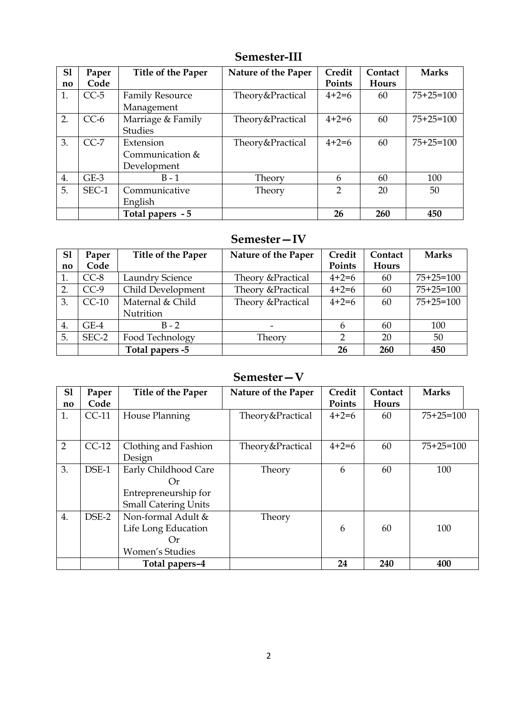| S1                     | Paper<br>Code | Title of the Paper     | Nature of the Paper | Credit<br>Points | Contact<br>Hours | <b>Marks</b> |
|------------------------|---------------|------------------------|---------------------|------------------|------------------|--------------|
| $\mathbf{n}\mathbf{o}$ |               |                        |                     |                  |                  |              |
| 1.                     | $CC-5$        | <b>Family Resource</b> | Theory&Practical    | $4+2=6$          | 60               | $75+25=100$  |
|                        |               | Management             |                     |                  |                  |              |
| 2.                     | $CC-6$        | Marriage & Family      | Theory&Practical    | $4+2=6$          | 60               | $75+25=100$  |
|                        |               | <b>Studies</b>         |                     |                  |                  |              |
| 3.                     | $CC-7$        | Extension              | Theory&Practical    | $4+2=6$          | 60               | $75+25=100$  |
|                        |               | Communication &        |                     |                  |                  |              |
|                        |               | Development            |                     |                  |                  |              |
| 4.                     | $GE-3$        | $B - 1$                | Theory              | 6                | 60               | 100          |
| 5.                     | SEC-1         | Communicative          | Theory              | 2                | 20               | 50           |
|                        |               | English                |                     |                  |                  |              |
|                        |               | Total papers - 5       |                     | 26               | 260              | 450          |

# **Semester-III**

## **Semester—IV**

| S1                     | Paper   | Title of the Paper | Nature of the Paper | Credit  | Contact      | <b>Marks</b> |
|------------------------|---------|--------------------|---------------------|---------|--------------|--------------|
| $\mathbf{n}\mathbf{o}$ | Code    |                    |                     | Points  | <b>Hours</b> |              |
| 1.                     | $CC-8$  | Laundry Science    | Theory & Practical  | $4+2=6$ | 60           | $75+25=100$  |
| 2.                     | $CC-9$  | Child Development  | Theory & Practical  | $4+2=6$ | 60           | $75+25=100$  |
| 3.                     | $CC-10$ | Maternal & Child   | Theory & Practical  | $4+2=6$ | 60           | $75+25=100$  |
|                        |         | Nutrition          |                     |         |              |              |
| 4.                     | $GE-4$  | $B - 2$            |                     | 6       | 60           | 100          |
| 5.                     | SEC-2   | Food Technology    | Theory              | C       | 20           | 50           |
|                        |         | Total papers -5    |                     | 26      | 260          | 450          |

## **Semester—V**

| S <sub>1</sub>         | Paper   | <b>Title of the Paper</b>   | Nature of the Paper | Credit  | Contact      | <b>Marks</b> |  |
|------------------------|---------|-----------------------------|---------------------|---------|--------------|--------------|--|
| $\mathbf{n}\mathbf{o}$ | Code    |                             |                     | Points  | <b>Hours</b> |              |  |
| 1.                     | $CC-11$ | House Planning              | Theory&Practical    | $4+2=6$ | 60           | $75+25=100$  |  |
|                        |         |                             |                     |         |              |              |  |
| 2                      | $CC-12$ | Clothing and Fashion        | Theory&Practical    | $4+2=6$ | 60           | $75+25=100$  |  |
|                        |         | Design                      |                     |         |              |              |  |
| 3.                     | DSE-1   | Early Childhood Care        | Theory              | 6       | 60           | 100          |  |
|                        |         | Or                          |                     |         |              |              |  |
|                        |         | Entrepreneurship for        |                     |         |              |              |  |
|                        |         | <b>Small Catering Units</b> |                     |         |              |              |  |
| 4.                     | DSE-2   | Non-formal Adult &          | Theory              |         |              |              |  |
|                        |         | Life Long Education         |                     | 6       | 60           | 100          |  |
|                        |         | Or                          |                     |         |              |              |  |
|                        |         | Women's Studies             |                     |         |              |              |  |
|                        |         | Total papers-4              |                     | 24      | 240          | 400          |  |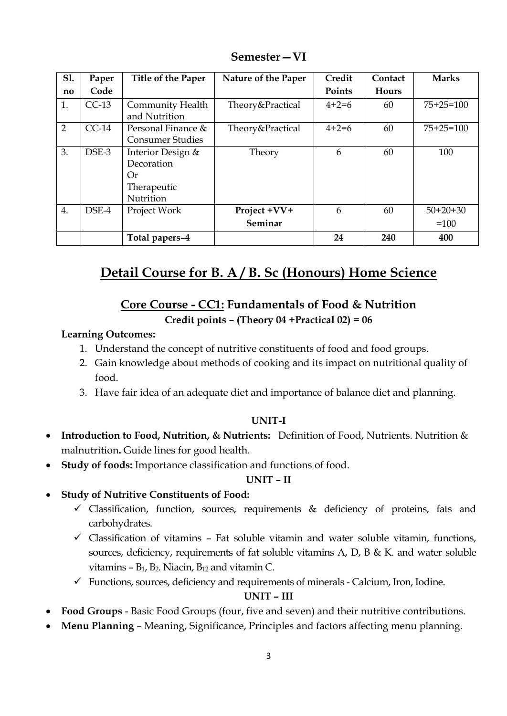| <b>S1.</b>             | Paper   | Title of the Paper      | Nature of the Paper | Credit  | Contact      | <b>Marks</b> |
|------------------------|---------|-------------------------|---------------------|---------|--------------|--------------|
| $\mathbf{n}\mathbf{o}$ | Code    |                         |                     | Points  | <b>Hours</b> |              |
| 1.                     | $CC-13$ | Community Health        | Theory&Practical    | $4+2=6$ | 60           | $75+25=100$  |
|                        |         | and Nutrition           |                     |         |              |              |
| $\overline{2}$         | $CC-14$ | Personal Finance &      | Theory&Practical    | $4+2=6$ | 60           | $75+25=100$  |
|                        |         | <b>Consumer Studies</b> |                     |         |              |              |
| 3.                     | DSE-3   | Interior Design &       | Theory              | 6       | 60           | 100          |
|                        |         | Decoration              |                     |         |              |              |
|                        |         | Or                      |                     |         |              |              |
|                        |         | Therapeutic             |                     |         |              |              |
|                        |         | Nutrition               |                     |         |              |              |
| 4.                     | DSE-4   | Project Work            | Project +VV+        | 6       | 60           | $50+20+30$   |
|                        |         |                         | Seminar             |         |              | $=100$       |
|                        |         | Total papers-4          |                     | 24      | 240          | 400          |

**Semester—VI**

# **Detail Course for B. A / B. Sc (Honours) Home Science**

## **Core Course - CC1: Fundamentals of Food & Nutrition Credit points – (Theory 04 +Practical 02) = 06**

#### **Learning Outcomes:**

- 1. Understand the concept of nutritive constituents of food and food groups.
- 2. Gain knowledge about methods of cooking and its impact on nutritional quality of food.
- 3. Have fair idea of an adequate diet and importance of balance diet and planning.

#### **UNIT-I**

- **Introduction to Food, Nutrition, & Nutrients:** Definition of Food, Nutrients. Nutrition & malnutrition**.** Guide lines for good health.
- **Study of foods:** Importance classification and functions of food.

#### **UNIT – II**

- **Study of Nutritive Constituents of Food:**
	- $\checkmark$  Classification, function, sources, requirements & deficiency of proteins, fats and carbohydrates.
	- $\checkmark$  Classification of vitamins Fat soluble vitamin and water soluble vitamin, functions, sources, deficiency, requirements of fat soluble vitamins A, D, B & K. and water soluble vitamins  $- B_1$ ,  $B_2$ . Niacin,  $B_{12}$  and vitamin C.
	- $\checkmark$  Functions, sources, deficiency and requirements of minerals Calcium, Iron, Iodine.

#### **UNIT – III**

- **Food Groups** Basic Food Groups (four, five and seven) and their nutritive contributions.
- **Menu Planning** Meaning, Significance, Principles and factors affecting menu planning.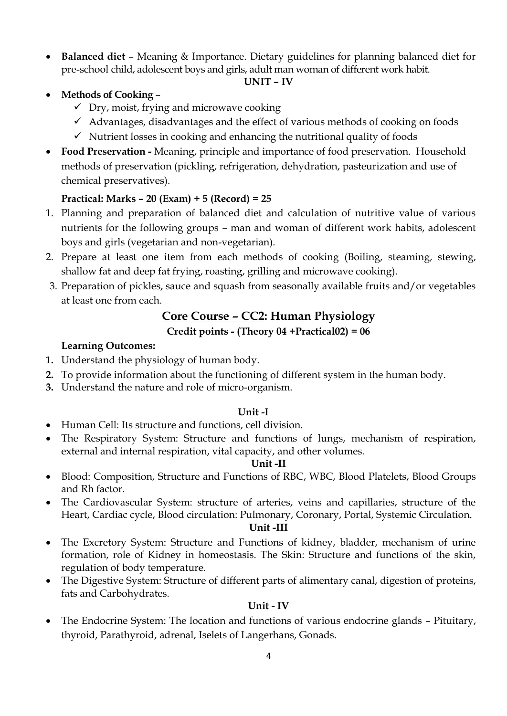**Balanced diet** – Meaning & Importance. Dietary guidelines for planning balanced diet for pre-school child, adolescent boys and girls, adult man woman of different work habit.

#### **UNIT – IV**

- **Methods of Cooking**
	- $\checkmark$  Dry, moist, frying and microwave cooking
	- $\checkmark$  Advantages, disadvantages and the effect of various methods of cooking on foods
	- $\checkmark$  Nutrient losses in cooking and enhancing the nutritional quality of foods
- **Food Preservation -** Meaning, principle and importance of food preservation. Household methods of preservation (pickling, refrigeration, dehydration, pasteurization and use of chemical preservatives).

### **Practical: Marks – 20 (Exam) + 5 (Record) = 25**

- 1. Planning and preparation of balanced diet and calculation of nutritive value of various nutrients for the following groups – man and woman of different work habits, adolescent boys and girls (vegetarian and non-vegetarian).
- 2. Prepare at least one item from each methods of cooking (Boiling, steaming, stewing, shallow fat and deep fat frying, roasting, grilling and microwave cooking).
- 3. Preparation of pickles, sauce and squash from seasonally available fruits and/or vegetables at least one from each.

## **Core Course – CC2: Human Physiology**

#### **Credit points - (Theory 04 +Practical02) = 06**

#### **Learning Outcomes:**

- **1.** Understand the physiology of human body.
- **2.** To provide information about the functioning of different system in the human body.
- **3.** Understand the nature and role of micro-organism.

#### **Unit -I**

- Human Cell: Its structure and functions, cell division.
- The Respiratory System: Structure and functions of lungs, mechanism of respiration, external and internal respiration, vital capacity, and other volumes.

#### **Unit -II**

- Blood: Composition, Structure and Functions of RBC, WBC, Blood Platelets, Blood Groups and Rh factor.
- The Cardiovascular System: structure of arteries, veins and capillaries, structure of the Heart, Cardiac cycle, Blood circulation: Pulmonary, Coronary, Portal, Systemic Circulation.

#### **Unit -III**

- The Excretory System: Structure and Functions of kidney, bladder, mechanism of urine formation, role of Kidney in homeostasis. The Skin: Structure and functions of the skin, regulation of body temperature.
- The Digestive System: Structure of different parts of alimentary canal, digestion of proteins, fats and Carbohydrates.

#### **Unit - IV**

 The Endocrine System: The location and functions of various endocrine glands – Pituitary, thyroid, Parathyroid, adrenal, Iselets of Langerhans, Gonads.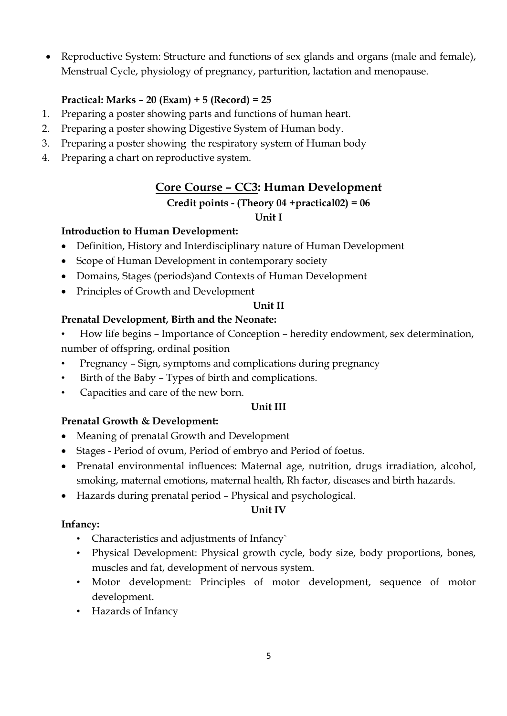Reproductive System: Structure and functions of sex glands and organs (male and female), Menstrual Cycle, physiology of pregnancy, parturition, lactation and menopause.

#### **Practical: Marks – 20 (Exam) + 5 (Record) = 25**

- 1. Preparing a poster showing parts and functions of human heart.
- 2. Preparing a poster showing Digestive System of Human body.
- 3. Preparing a poster showing the respiratory system of Human body
- 4. Preparing a chart on reproductive system.

## **Core Course – CC3: Human Development**

#### **Credit points - (Theory 04 +practical02) = 06 Unit I**

# **Introduction to Human Development:**

- Definition, History and Interdisciplinary nature of Human Development
- Scope of Human Development in contemporary society
- Domains, Stages (periods)and Contexts of Human Development
- Principles of Growth and Development

#### **Unit II**

#### **Prenatal Development, Birth and the Neonate:**

- How life begins Importance of Conception heredity endowment, sex determination, number of offspring, ordinal position
- Pregnancy Sign, symptoms and complications during pregnancy
- Birth of the Baby Types of birth and complications.
- Capacities and care of the new born.

#### **Unit III**

#### **Prenatal Growth & Development:**

- Meaning of prenatal Growth and Development
- Stages Period of ovum, Period of embryo and Period of foetus.
- Prenatal environmental influences: Maternal age, nutrition, drugs irradiation, alcohol, smoking, maternal emotions, maternal health, Rh factor, diseases and birth hazards.
- Hazards during prenatal period Physical and psychological.

#### **Unit IV**

#### **Infancy:**

- Characteristics and adjustments of Infancy`
- Physical Development: Physical growth cycle, body size, body proportions, bones, muscles and fat, development of nervous system.
- Motor development: Principles of motor development, sequence of motor development.
- Hazards of Infancy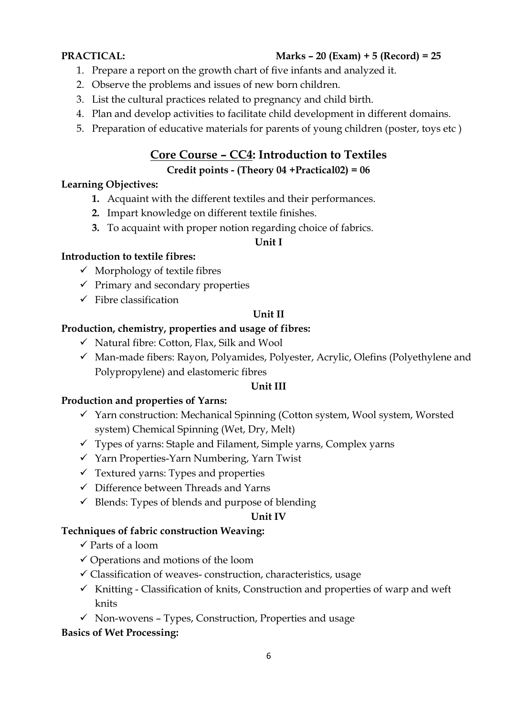### **PRACTICAL: Marks – 20 (Exam) + 5 (Record) = 25**

- 1. Prepare a report on the growth chart of five infants and analyzed it.
- 2. Observe the problems and issues of new born children.
- 3. List the cultural practices related to pregnancy and child birth.
- 4. Plan and develop activities to facilitate child development in different domains.
- 5. Preparation of educative materials for parents of young children (poster, toys etc )

## **Core Course – CC4: Introduction to Textiles**

#### **Credit points - (Theory 04 +Practical02) = 06**

#### **Learning Objectives:**

- **1.** Acquaint with the different textiles and their performances.
- **2.** Impart knowledge on different textile finishes.
- **3.** To acquaint with proper notion regarding choice of fabrics.

#### **Unit I**

#### **Introduction to textile fibres:**

- $\checkmark$  Morphology of textile fibres
- $\checkmark$  Primary and secondary properties
- $\checkmark$  Fibre classification

#### **Unit II**

#### **Production, chemistry, properties and usage of fibres:**

- $\checkmark$  Natural fibre: Cotton, Flax, Silk and Wool
- $\checkmark$  Man-made fibers: Rayon, Polyamides, Polyester, Acrylic, Olefins (Polyethylene and Polypropylene) and elastomeric fibres

#### **Unit III**

### **Production and properties of Yarns:**

- $\checkmark$  Yarn construction: Mechanical Spinning (Cotton system, Wool system, Worsted system) Chemical Spinning (Wet, Dry, Melt)
- $\checkmark$  Types of yarns: Staple and Filament, Simple yarns, Complex yarns
- $\checkmark$  Yarn Properties-Yarn Numbering, Yarn Twist
- $\checkmark$  Textured yarns: Types and properties
- $\checkmark$  Difference between Threads and Yarns
- $\checkmark$  Blends: Types of blends and purpose of blending

#### **Unit IV**

#### **Techniques of fabric construction Weaving:**

- $\checkmark$  Parts of a loom
- $\checkmark$  Operations and motions of the loom
- $\checkmark$  Classification of weaves- construction, characteristics, usage
- $\checkmark$  Knitting Classification of knits, Construction and properties of warp and weft knits
- $\checkmark$  Non-wovens Types, Construction, Properties and usage

#### **Basics of Wet Processing:**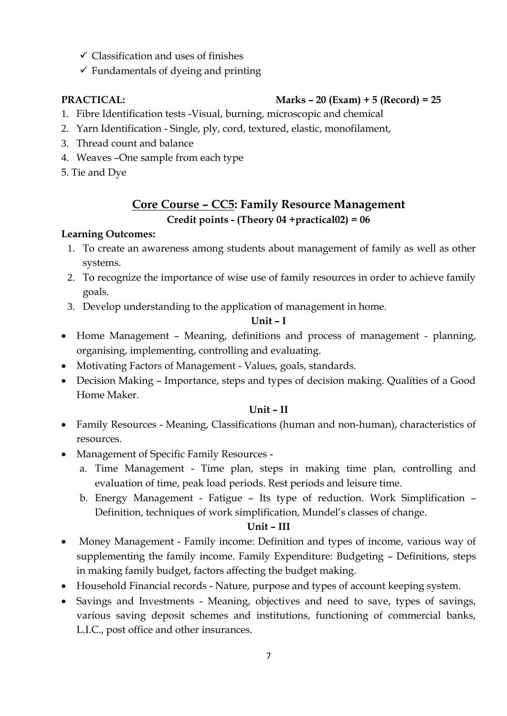- $\checkmark$  Classification and uses of finishes
- $\checkmark$  Fundamentals of dyeing and printing

## **PRACTICAL: Marks – 20 (Exam) + 5 (Record) = 25**

- 1. Fibre Identification tests -Visual, burning, microscopic and chemical
- 2. Yarn Identification Single, ply, cord, textured, elastic, monofilament,
- 3. Thread count and balance
- 4. Weaves –One sample from each type
- 5. Tie and Dye

## **Core Course – CC5: Family Resource Management Credit points - (Theory 04 +practical02) = 06**

### **Learning Outcomes:**

- 1. To create an awareness among students about management of family as well as other systems.
- 2. To recognize the importance of wise use of family resources in order to achieve family goals.
- 3. Develop understanding to the application of management in home.

### **Unit – I**

- Home Management Meaning, definitions and process of management planning, organising, implementing, controlling and evaluating.
- Motivating Factors of Management Values, goals, standards.
- Decision Making Importance, steps and types of decision making. Qualities of a Good Home Maker.

#### **Unit – II**

- Family Resources Meaning, Classifications (human and non-human), characteristics of resources.
- Management of Specific Family Resources
	- a. Time Management Time plan, steps in making time plan, controlling and evaluation of time, peak load periods. Rest periods and leisure time.
	- b. Energy Management Fatigue Its type of reduction. Work Simplification Definition, techniques of work simplification, Mundel's classes of change.

### **Unit – III**

- Money Management Family income: Definition and types of income, various way of supplementing the family income. Family Expenditure: Budgeting – Definitions, steps in making family budget, factors affecting the budget making.
- Household Financial records Nature, purpose and types of account keeping system.
- Savings and Investments Meaning, objectives and need to save, types of savings, various saving deposit schemes and institutions, functioning of commercial banks, L.I.C., post office and other insurances.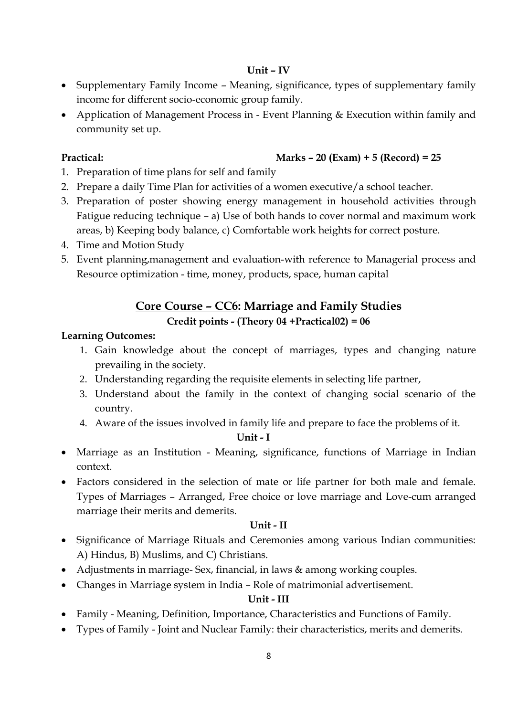#### **Unit – IV**

- Supplementary Family Income Meaning, significance, types of supplementary family income for different socio-economic group family.
- Application of Management Process in Event Planning & Execution within family and community set up.

### **Practical: Marks – 20 (Exam) + 5 (Record) = 25**

- 1. Preparation of time plans for self and family
- 2. Prepare a daily Time Plan for activities of a women executive/a school teacher.
- 3. Preparation of poster showing energy management in household activities through Fatigue reducing technique – a) Use of both hands to cover normal and maximum work areas, b) Keeping body balance, c) Comfortable work heights for correct posture.
- 4. Time and Motion Study
- 5. Event planning,management and evaluation-with reference to Managerial process and Resource optimization - time, money, products, space, human capital

## **Core Course – CC6: Marriage and Family Studies Credit points - (Theory 04 +Practical02) = 06**

#### **Learning Outcomes:**

- 1. Gain knowledge about the concept of marriages, types and changing nature prevailing in the society.
- 2. Understanding regarding the requisite elements in selecting life partner,
- 3. Understand about the family in the context of changing social scenario of the country.
- 4. Aware of the issues involved in family life and prepare to face the problems of it.

#### **Unit - I**

- Marriage as an Institution Meaning, significance, functions of Marriage in Indian context.
- Factors considered in the selection of mate or life partner for both male and female. Types of Marriages – Arranged, Free choice or love marriage and Love-cum arranged marriage their merits and demerits.

#### **Unit - II**

- Significance of Marriage Rituals and Ceremonies among various Indian communities: A) Hindus, B) Muslims, and C) Christians.
- Adjustments in marriage- Sex, financial, in laws & among working couples.
- Changes in Marriage system in India Role of matrimonial advertisement.

#### **Unit - III**

- Family Meaning, Definition, Importance, Characteristics and Functions of Family.
- Types of Family Joint and Nuclear Family: their characteristics, merits and demerits.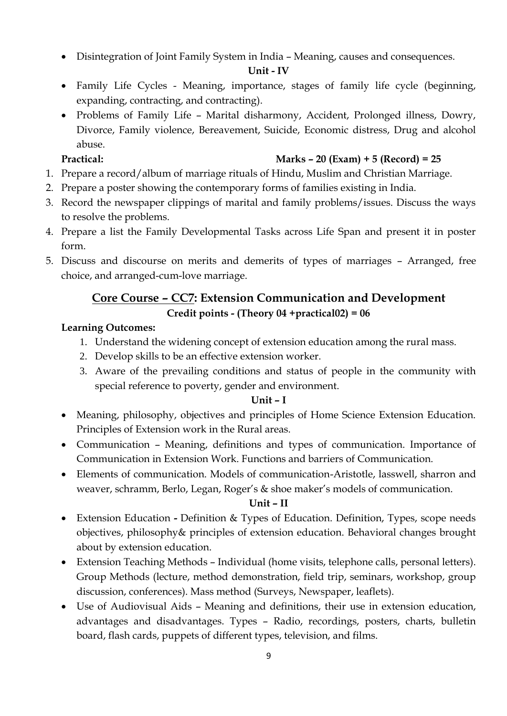Disintegration of Joint Family System in India – Meaning, causes and consequences.

#### **Unit - IV**

- Family Life Cycles Meaning, importance, stages of family life cycle (beginning, expanding, contracting, and contracting).
- Problems of Family Life Marital disharmony, Accident, Prolonged illness, Dowry, Divorce, Family violence, Bereavement, Suicide, Economic distress, Drug and alcohol abuse.

### **Practical: Marks – 20 (Exam) + 5 (Record) = 25**

- 1. Prepare a record/album of marriage rituals of Hindu, Muslim and Christian Marriage.
- 2. Prepare a poster showing the contemporary forms of families existing in India.
- 3. Record the newspaper clippings of marital and family problems/issues. Discuss the ways to resolve the problems.
- 4. Prepare a list the Family Developmental Tasks across Life Span and present it in poster form.
- 5. Discuss and discourse on merits and demerits of types of marriages Arranged, free choice, and arranged-cum-love marriage.

## **Core Course – CC7: Extension Communication and Development Credit points - (Theory 04 +practical02) = 06**

### **Learning Outcomes:**

- 1. Understand the widening concept of extension education among the rural mass.
- 2. Develop skills to be an effective extension worker.
- 3. Aware of the prevailing conditions and status of people in the community with special reference to poverty, gender and environment.

### **Unit – I**

- Meaning, philosophy, objectives and principles of Home Science Extension Education. Principles of Extension work in the Rural areas.
- Communication Meaning, definitions and types of communication. Importance of Communication in Extension Work. Functions and barriers of Communication.
- Elements of communication. Models of communication-Aristotle, lasswell, sharron and weaver, schramm, Berlo, Legan, Roger's & shoe maker's models of communication.

### **Unit – II**

- Extension Education **-** Definition & Types of Education. Definition, Types, scope needs objectives, philosophy& principles of extension education. Behavioral changes brought about by extension education.
- Extension Teaching Methods Individual (home visits, telephone calls, personal letters). Group Methods (lecture, method demonstration, field trip, seminars, workshop, group discussion, conferences). Mass method (Surveys, Newspaper, leaflets).
- Use of Audiovisual Aids Meaning and definitions, their use in extension education, advantages and disadvantages. Types – Radio, recordings, posters, charts, bulletin board, flash cards, puppets of different types, television, and films.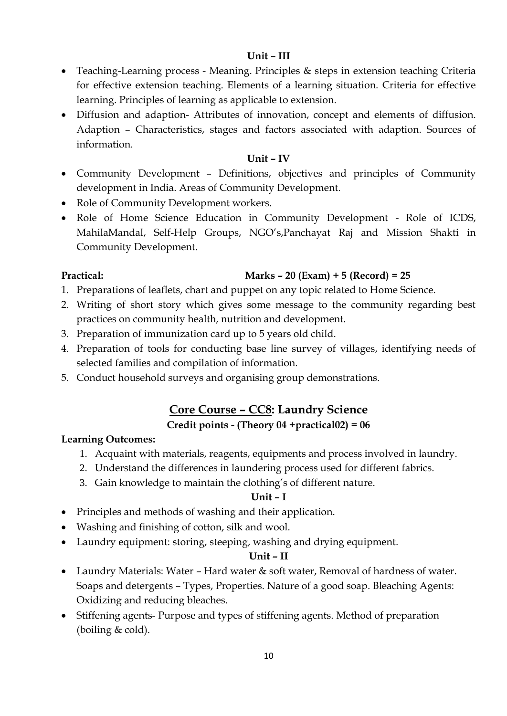#### **Unit – III**

- Teaching-Learning process Meaning. Principles & steps in extension teaching Criteria for effective extension teaching. Elements of a learning situation. Criteria for effective learning. Principles of learning as applicable to extension.
- Diffusion and adaption- Attributes of innovation, concept and elements of diffusion. Adaption – Characteristics, stages and factors associated with adaption. Sources of information.

#### **Unit – IV**

- Community Development Definitions, objectives and principles of Community development in India. Areas of Community Development.
- Role of Community Development workers.
- Role of Home Science Education in Community Development Role of ICDS, MahilaMandal, Self-Help Groups, NGO's,Panchayat Raj and Mission Shakti in Community Development.

#### **Practical: Marks – 20 (Exam) + 5 (Record) = 25**

- 1. Preparations of leaflets, chart and puppet on any topic related to Home Science.
- 2. Writing of short story which gives some message to the community regarding best practices on community health, nutrition and development.
- 3. Preparation of immunization card up to 5 years old child.
- 4. Preparation of tools for conducting base line survey of villages, identifying needs of selected families and compilation of information.
- 5. Conduct household surveys and organising group demonstrations.

## **Core Course – CC8: Laundry Science**

#### **Credit points - (Theory 04 +practical02) = 06**

#### **Learning Outcomes:**

- 1. Acquaint with materials, reagents, equipments and process involved in laundry.
- 2. Understand the differences in laundering process used for different fabrics.
- 3. Gain knowledge to maintain the clothing's of different nature.

#### **Unit – I**

- Principles and methods of washing and their application.
- Washing and finishing of cotton, silk and wool.
- Laundry equipment: storing, steeping, washing and drying equipment.

#### **Unit – II**

- Laundry Materials: Water Hard water & soft water, Removal of hardness of water. Soaps and detergents – Types, Properties. Nature of a good soap. Bleaching Agents: Oxidizing and reducing bleaches.
- Stiffening agents- Purpose and types of stiffening agents. Method of preparation (boiling & cold).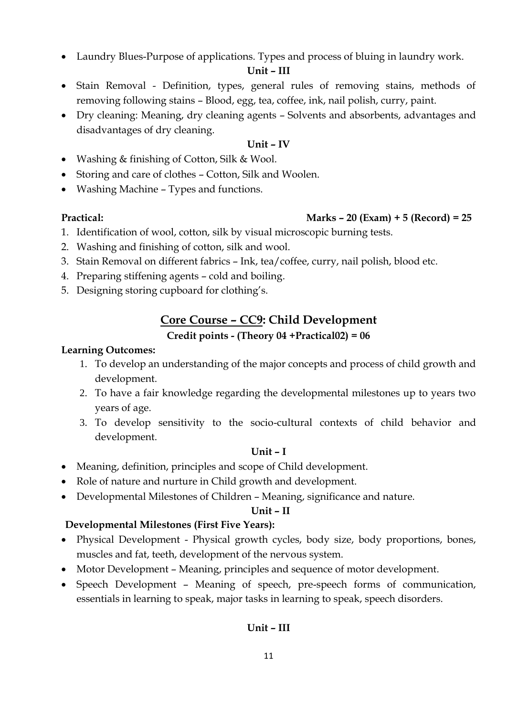Laundry Blues-Purpose of applications. Types and process of bluing in laundry work.

#### **Unit – III**

- Stain Removal Definition, types, general rules of removing stains, methods of removing following stains – Blood, egg, tea, coffee, ink, nail polish, curry, paint.
- Dry cleaning: Meaning, dry cleaning agents Solvents and absorbents, advantages and disadvantages of dry cleaning.

#### **Unit – IV**

- Washing & finishing of Cotton, Silk & Wool.
- Storing and care of clothes Cotton, Silk and Woolen.
- Washing Machine Types and functions.

#### **Practical: Marks – 20 (Exam) + 5 (Record) = 25**

- 1. Identification of wool, cotton, silk by visual microscopic burning tests.
- 2. Washing and finishing of cotton, silk and wool.
- 3. Stain Removal on different fabrics Ink, tea/coffee, curry, nail polish, blood etc.
- 4. Preparing stiffening agents cold and boiling.
- 5. Designing storing cupboard for clothing's.

## **Core Course – CC9: Child Development**

#### **Credit points - (Theory 04 +Practical02) = 06**

#### **Learning Outcomes:**

- 1. To develop an understanding of the major concepts and process of child growth and development.
- 2. To have a fair knowledge regarding the developmental milestones up to years two years of age.
- 3. To develop sensitivity to the socio-cultural contexts of child behavior and development.

#### **Unit – I**

- Meaning, definition, principles and scope of Child development.
- Role of nature and nurture in Child growth and development.
- Developmental Milestones of Children Meaning, significance and nature.

#### **Unit – II**

#### **Developmental Milestones (First Five Years):**

- Physical Development Physical growth cycles, body size, body proportions, bones, muscles and fat, teeth, development of the nervous system.
- Motor Development Meaning, principles and sequence of motor development.
- Speech Development Meaning of speech, pre-speech forms of communication, essentials in learning to speak, major tasks in learning to speak, speech disorders.

## **Unit – III**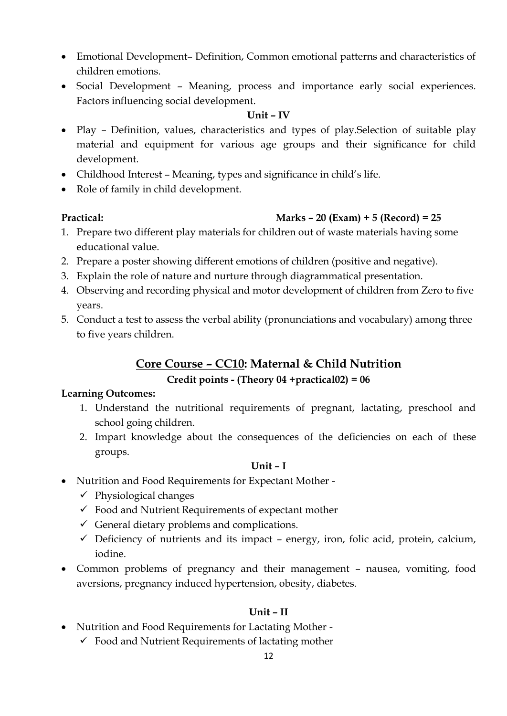- Emotional Development– Definition, Common emotional patterns and characteristics of children emotions.
- Social Development Meaning, process and importance early social experiences. Factors influencing social development.

#### **Unit – IV**

- Play Definition, values, characteristics and types of play.Selection of suitable play material and equipment for various age groups and their significance for child development.
- Childhood Interest Meaning, types and significance in child's life.
- Role of family in child development.

#### **Practical: Marks – 20 (Exam) + 5 (Record) = 25**

- 1. Prepare two different play materials for children out of waste materials having some educational value.
- 2. Prepare a poster showing different emotions of children (positive and negative).
- 3. Explain the role of nature and nurture through diagrammatical presentation.
- 4. Observing and recording physical and motor development of children from Zero to five years.
- 5. Conduct a test to assess the verbal ability (pronunciations and vocabulary) among three to five years children.

## **Core Course – CC10: Maternal & Child Nutrition Credit points - (Theory 04 +practical02) = 06**

#### **Learning Outcomes:**

- 1. Understand the nutritional requirements of pregnant, lactating, preschool and school going children.
- 2. Impart knowledge about the consequences of the deficiencies on each of these groups.

#### **Unit – I**

- Nutrition and Food Requirements for Expectant Mother
	- $\checkmark$  Physiological changes
	- $\checkmark$  Food and Nutrient Requirements of expectant mother
	- $\checkmark$  General dietary problems and complications.
	- $\checkmark$  Deficiency of nutrients and its impact energy, iron, folic acid, protein, calcium, iodine.
- Common problems of pregnancy and their management nausea, vomiting, food aversions, pregnancy induced hypertension, obesity, diabetes.

#### **Unit – II**

- Nutrition and Food Requirements for Lactating Mother
	- $\checkmark$  Food and Nutrient Requirements of lactating mother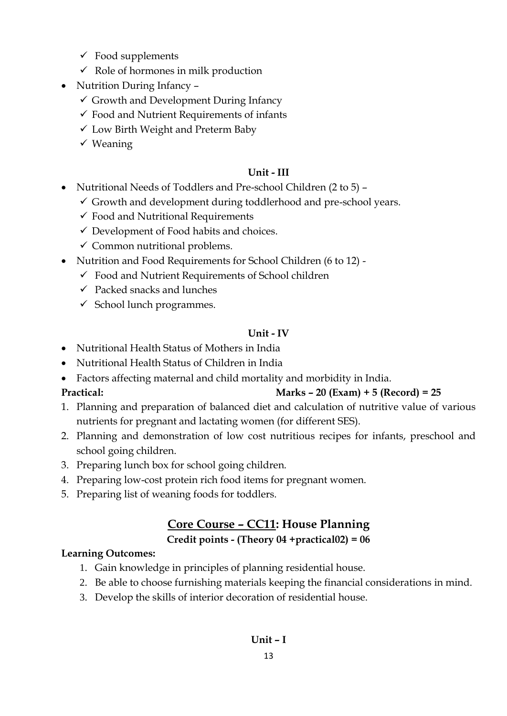- $\checkmark$  Food supplements
- $\checkmark$  Role of hormones in milk production
- Nutrition During Infancy -
	- $\checkmark$  Growth and Development During Infancy
	- $\checkmark$  Food and Nutrient Requirements of infants
	- Low Birth Weight and Preterm Baby
	- $\checkmark$  Weaning

#### **Unit - III**

- Nutritional Needs of Toddlers and Pre-school Children (2 to 5)
	- $\checkmark$  Growth and development during toddlerhood and pre-school years.
	- $\checkmark$  Food and Nutritional Requirements
	- $\checkmark$  Development of Food habits and choices.
	- $\checkmark$  Common nutritional problems.
- Nutrition and Food Requirements for School Children (6 to 12)
	- $\checkmark$  Food and Nutrient Requirements of School children
	- $\checkmark$  Packed snacks and lunches
	- $\checkmark$  School lunch programmes.

## **Unit - IV**

- Nutritional Health Status of Mothers in India
- Nutritional Health Status of Children in India
- Factors affecting maternal and child mortality and morbidity in India.

## **Practical: Marks – 20 (Exam) + 5 (Record) = 25**

- 1. Planning and preparation of balanced diet and calculation of nutritive value of various nutrients for pregnant and lactating women (for different SES).
- 2. Planning and demonstration of low cost nutritious recipes for infants, preschool and school going children.
- 3. Preparing lunch box for school going children.
- 4. Preparing low-cost protein rich food items for pregnant women.
- 5. Preparing list of weaning foods for toddlers.

## **Core Course – CC11: House Planning**

## **Credit points - (Theory 04 +practical02) = 06**

## **Learning Outcomes:**

- 1. Gain knowledge in principles of planning residential house.
- 2. Be able to choose furnishing materials keeping the financial considerations in mind.
- 3. Develop the skills of interior decoration of residential house.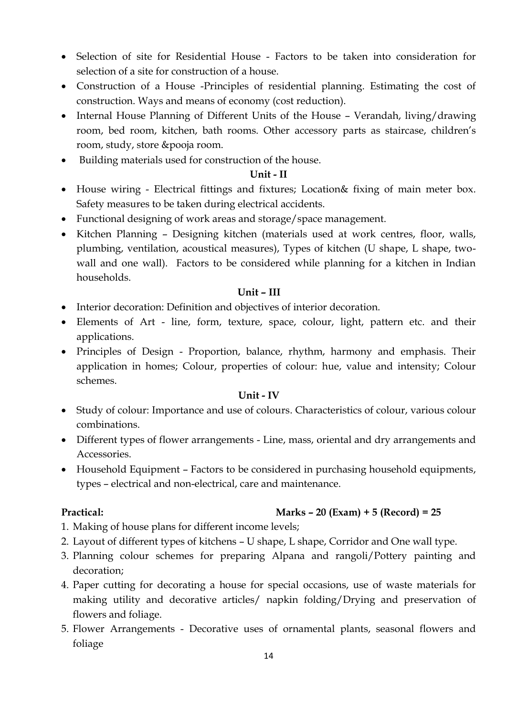- Selection of site for Residential House Factors to be taken into consideration for selection of a site for construction of a house.
- Construction of a House -Principles of residential planning. Estimating the cost of construction. Ways and means of economy (cost reduction).
- Internal House Planning of Different Units of the House Verandah, living/drawing room, bed room, kitchen, bath rooms. Other accessory parts as staircase, children's room, study, store &pooja room.
- Building materials used for construction of the house.

#### **Unit - II**

- House wiring Electrical fittings and fixtures; Location& fixing of main meter box. Safety measures to be taken during electrical accidents.
- Functional designing of work areas and storage/space management.
- Kitchen Planning Designing kitchen (materials used at work centres, floor, walls, plumbing, ventilation, acoustical measures), Types of kitchen (U shape, L shape, twowall and one wall). Factors to be considered while planning for a kitchen in Indian households.

#### **Unit – III**

- Interior decoration: Definition and objectives of interior decoration.
- Elements of Art line, form, texture, space, colour, light, pattern etc. and their applications.
- Principles of Design Proportion, balance, rhythm, harmony and emphasis. Their application in homes; Colour, properties of colour: hue, value and intensity; Colour schemes.

#### **Unit - IV**

- Study of colour: Importance and use of colours. Characteristics of colour, various colour combinations.
- Different types of flower arrangements Line, mass, oriental and dry arrangements and Accessories.
- Household Equipment Factors to be considered in purchasing household equipments, types – electrical and non-electrical, care and maintenance.

- **Practical: Marks – 20 (Exam) + 5 (Record) = 25**
- 1. Making of house plans for different income levels;
- 2. Layout of different types of kitchens U shape, L shape, Corridor and One wall type.
- 3. Planning colour schemes for preparing Alpana and rangoli/Pottery painting and decoration;
- 4. Paper cutting for decorating a house for special occasions, use of waste materials for making utility and decorative articles/ napkin folding/Drying and preservation of flowers and foliage.
- 5. Flower Arrangements Decorative uses of ornamental plants, seasonal flowers and foliage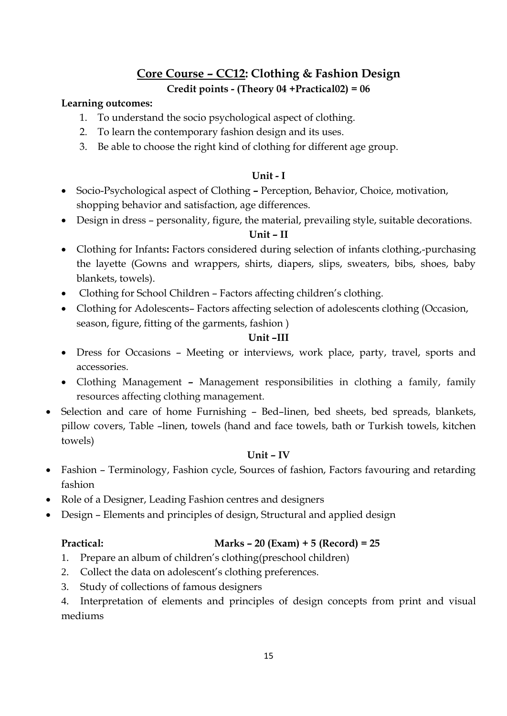## **Core Course – CC12: Clothing & Fashion Design Credit points - (Theory 04 +Practical02) = 06**

#### **Learning outcomes:**

- 1. To understand the socio psychological aspect of clothing.
- 2. To learn the contemporary fashion design and its uses.
- 3. Be able to choose the right kind of clothing for different age group.

#### **Unit - I**

- Socio-Psychological aspect of Clothing **–** Perception, Behavior, Choice, motivation, shopping behavior and satisfaction, age differences.
- Design in dress personality, figure, the material, prevailing style, suitable decorations.

#### **Unit – II**

- Clothing for Infants**:** Factors considered during selection of infants clothing,-purchasing the layette (Gowns and wrappers, shirts, diapers, slips, sweaters, bibs, shoes, baby blankets, towels).
- Clothing for School Children Factors affecting children's clothing.
- Clothing for Adolescents– Factors affecting selection of adolescents clothing (Occasion, season, figure, fitting of the garments, fashion )

#### **Unit –III**

- Dress for Occasions Meeting or interviews, work place, party, travel, sports and accessories.
- Clothing Management **–** Management responsibilities in clothing a family, family resources affecting clothing management.
- Selection and care of home Furnishing Bed–linen, bed sheets, bed spreads, blankets, pillow covers, Table –linen, towels (hand and face towels, bath or Turkish towels, kitchen towels)

#### **Unit – IV**

- Fashion Terminology, Fashion cycle, Sources of fashion, Factors favouring and retarding fashion
- Role of a Designer, Leading Fashion centres and designers
- Design Elements and principles of design, Structural and applied design

### **Practical: Marks – 20 (Exam) + 5 (Record) = 25**

- 1. Prepare an album of children's clothing(preschool children)
- 2. Collect the data on adolescent's clothing preferences.
- 3. Study of collections of famous designers

4. Interpretation of elements and principles of design concepts from print and visual mediums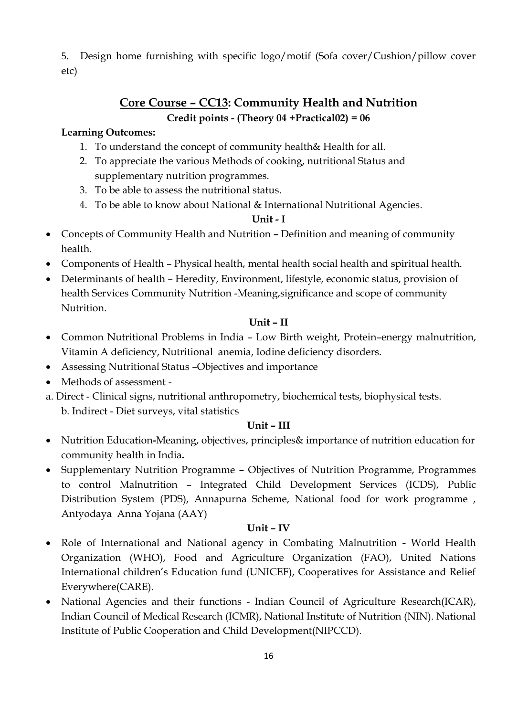5. Design home furnishing with specific logo/motif (Sofa cover/Cushion/pillow cover etc)

## **Core Course – CC13: Community Health and Nutrition Credit points - (Theory 04 +Practical02) = 06**

#### **Learning Outcomes:**

- 1. To understand the concept of community health& Health for all.
- 2. To appreciate the various Methods of cooking, nutritional Status and supplementary nutrition programmes.
- 3. To be able to assess the nutritional status.
- 4. To be able to know about National & International Nutritional Agencies.

#### **Unit - I**

- Concepts of Community Health and Nutrition **–** Definition and meaning of community health.
- Components of Health Physical health, mental health social health and spiritual health.
- Determinants of health Heredity, Environment, lifestyle, economic status, provision of health Services Community Nutrition -Meaning,significance and scope of community Nutrition.

#### **Unit – II**

- Common Nutritional Problems in India Low Birth weight, Protein–energy malnutrition, Vitamin A deficiency, Nutritional anemia, Iodine deficiency disorders.
- Assessing Nutritional Status –Objectives and importance
- Methods of assessment -
- a. Direct Clinical signs, nutritional anthropometry, biochemical tests, biophysical tests. b. Indirect - Diet surveys, vital statistics

#### **Unit – III**

- Nutrition Education**-**Meaning, objectives, principles& importance of nutrition education for community health in India**.**
- Supplementary Nutrition Programme **–** Objectives of Nutrition Programme, Programmes to control Malnutrition – Integrated Child Development Services (ICDS), Public Distribution System (PDS), Annapurna Scheme, National food for work programme , Antyodaya Anna Yojana (AAY)

#### **Unit – IV**

- Role of International and National agency in Combating Malnutrition **-** World Health Organization (WHO), Food and Agriculture Organization (FAO), United Nations International children's Education fund (UNICEF), Cooperatives for Assistance and Relief Everywhere(CARE).
- National Agencies and their functions Indian Council of Agriculture Research(ICAR), Indian Council of Medical Research (ICMR), National Institute of Nutrition (NIN). National Institute of Public Cooperation and Child Development(NIPCCD).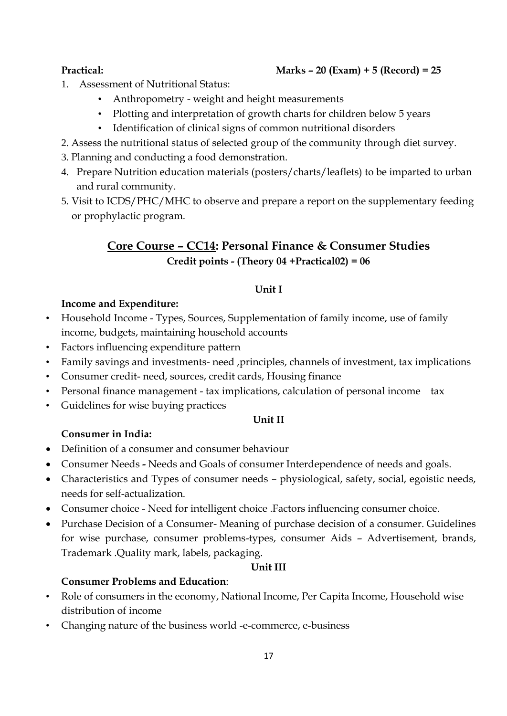#### **Practical: Marks – 20 (Exam) + 5 (Record) = 25**

- 1. Assessment of Nutritional Status:
	- Anthropometry weight and height measurements
	- Plotting and interpretation of growth charts for children below 5 years
	- Identification of clinical signs of common nutritional disorders
- 2. Assess the nutritional status of selected group of the community through diet survey.
- 3. Planning and conducting a food demonstration.
- 4. Prepare Nutrition education materials (posters/charts/leaflets) to be imparted to urban and rural community.
- 5. Visit to ICDS/PHC/MHC to observe and prepare a report on the supplementary feeding or prophylactic program.

## **Core Course – CC14: Personal Finance & Consumer Studies Credit points - (Theory 04 +Practical02) = 06**

#### **Unit I**

#### **Income and Expenditure:**

- Household Income Types, Sources, Supplementation of family income, use of family income, budgets, maintaining household accounts
- Factors influencing expenditure pattern
- Family savings and investments- need ,principles, channels of investment, tax implications
- Consumer credit- need, sources, credit cards, Housing finance
- Personal finance management tax implications, calculation of personal income tax
- Guidelines for wise buying practices

#### **Unit II**

#### **Consumer in India:**

- Definition of a consumer and consumer behaviour
- Consumer Needs **-** Needs and Goals of consumer Interdependence of needs and goals.
- Characteristics and Types of consumer needs physiological, safety, social, egoistic needs, needs for self-actualization.
- Consumer choice Need for intelligent choice .Factors influencing consumer choice.
- Purchase Decision of a Consumer- Meaning of purchase decision of a consumer. Guidelines for wise purchase, consumer problems-types, consumer Aids – Advertisement, brands, Trademark .Quality mark, labels, packaging.

#### **Unit III**

#### **Consumer Problems and Education**:

- Role of consumers in the economy, National Income, Per Capita Income, Household wise distribution of income
- Changing nature of the business world -e-commerce, e-business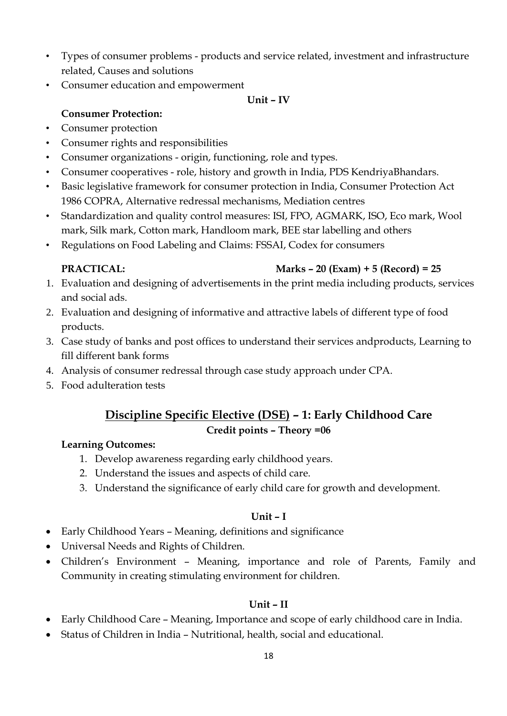- Types of consumer problems products and service related, investment and infrastructure related, Causes and solutions
- Consumer education and empowerment

#### **Unit – IV**

#### **Consumer Protection:**

- Consumer protection
- Consumer rights and responsibilities
- Consumer organizations origin, functioning, role and types.
- Consumer cooperatives role, history and growth in India, PDS KendriyaBhandars.
- Basic legislative framework for consumer protection in India, Consumer Protection Act 1986 COPRA, Alternative redressal mechanisms, Mediation centres
- Standardization and quality control measures: ISI, FPO, AGMARK, ISO, Eco mark, Wool mark, Silk mark, Cotton mark, Handloom mark, BEE star labelling and others
- Regulations on Food Labeling and Claims: FSSAI, Codex for consumers

### **PRACTICAL: Marks – 20 (Exam) + 5 (Record) = 25**

- 1. Evaluation and designing of advertisements in the print media including products, services and social ads.
- 2. Evaluation and designing of informative and attractive labels of different type of food products.
- 3. Case study of banks and post offices to understand their services andproducts, Learning to fill different bank forms
- 4. Analysis of consumer redressal through case study approach under CPA.
- 5. Food adulteration tests

## **Discipline Specific Elective (DSE) – 1: Early Childhood Care Credit points – Theory =06**

#### **Learning Outcomes:**

- 1. Develop awareness regarding early childhood years.
- 2. Understand the issues and aspects of child care.
- 3. Understand the significance of early child care for growth and development.

#### **Unit – I**

- Early Childhood Years Meaning, definitions and significance
- Universal Needs and Rights of Children.
- Children's Environment Meaning, importance and role of Parents, Family and Community in creating stimulating environment for children.

#### **Unit – II**

- Early Childhood Care Meaning, Importance and scope of early childhood care in India.
- Status of Children in India Nutritional, health, social and educational.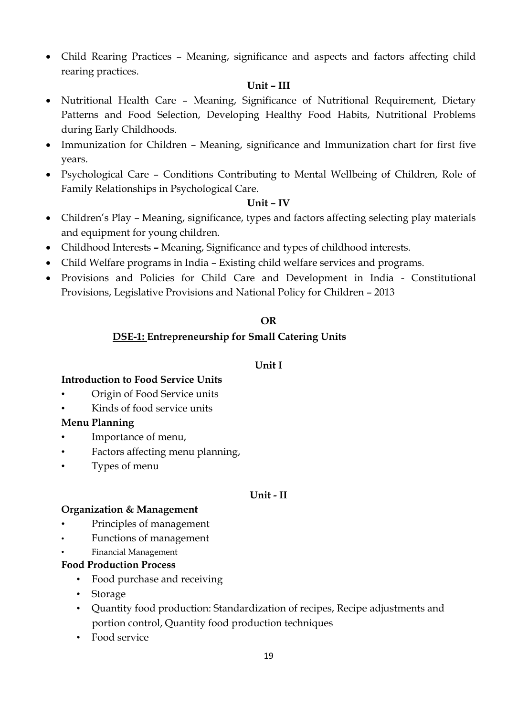• Child Rearing Practices - Meaning, significance and aspects and factors affecting child rearing practices.

#### **Unit – III**

- Nutritional Health Care Meaning, Significance of Nutritional Requirement, Dietary Patterns and Food Selection, Developing Healthy Food Habits, Nutritional Problems during Early Childhoods.
- Immunization for Children Meaning, significance and Immunization chart for first five years.
- Psychological Care Conditions Contributing to Mental Wellbeing of Children, Role of Family Relationships in Psychological Care.

#### **Unit – IV**

- Children's Play Meaning, significance, types and factors affecting selecting play materials and equipment for young children.
- Childhood Interests **–** Meaning, Significance and types of childhood interests.
- Child Welfare programs in India Existing child welfare services and programs.
- Provisions and Policies for Child Care and Development in India Constitutional Provisions, Legislative Provisions and National Policy for Children – 2013

#### **OR**

#### **DSE-1: Entrepreneurship for Small Catering Units**

#### **Unit I**

#### **Introduction to Food Service Units**

- Origin of Food Service units
- Kinds of food service units

#### **Menu Planning**

- Importance of menu,
- Factors affecting menu planning,
- Types of menu

#### **Unit - II**

#### **Organization & Management**

- Principles of management
- Functions of management
- Financial Management

#### **Food Production Process**

- Food purchase and receiving
- Storage
- Quantity food production: Standardization of recipes, Recipe adjustments and portion control, Quantity food production techniques
- Food service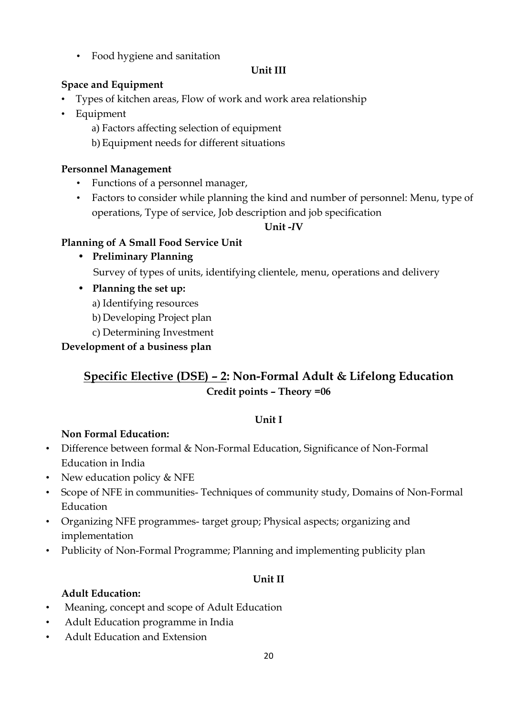• Food hygiene and sanitation

#### **Unit III**

#### **Space and Equipment**

- Types of kitchen areas, Flow of work and work area relationship
- Equipment
	- a) Factors affecting selection of equipment
	- b) Equipment needs for different situations

#### **Personnel Management**

- Functions of a personnel manager,
- Factors to consider while planning the kind and number of personnel: Menu, type of operations, Type of service, Job description and job specification

### **Unit -***I***V**

### **Planning of A Small Food Service Unit**

- **Preliminary Planning** Survey of types of units, identifying clientele, menu, operations and delivery
- **Planning the set up:**
	- a) Identifying resources
	- b) Developing Project plan
- c) Determining Investment

### **Development of a business plan**

## **Specific Elective (DSE) – 2: Non-Formal Adult & Lifelong Education Credit points – Theory =06**

#### **Unit I**

### **Non Formal Education:**

- Difference between formal & Non-Formal Education, Significance of Non-Formal Education in India
- New education policy & NFE
- Scope of NFE in communities- Techniques of community study, Domains of Non-Formal Education
- Organizing NFE programmes- target group; Physical aspects; organizing and implementation
- Publicity of Non-Formal Programme; Planning and implementing publicity plan

### **Unit II**

### **Adult Education:**

- Meaning, concept and scope of Adult Education
- Adult Education programme in India
- Adult Education and Extension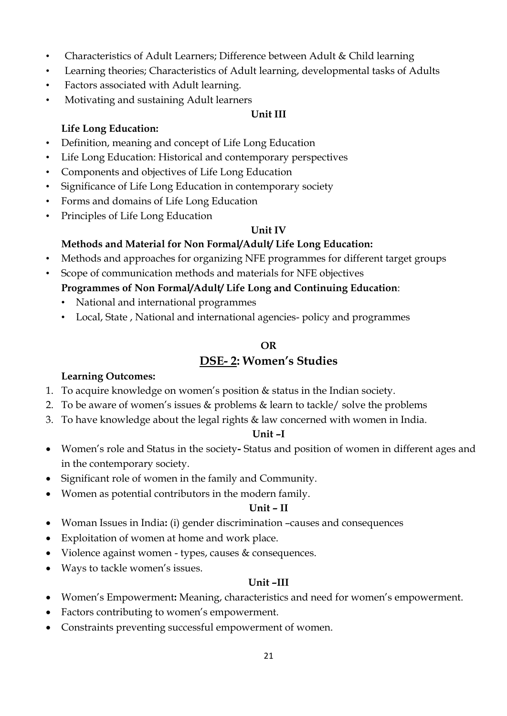- Characteristics of Adult Learners; Difference between Adult & Child learning
- Learning theories; Characteristics of Adult learning, developmental tasks of Adults
- Factors associated with Adult learning.
- Motivating and sustaining Adult learners

#### **Unit III**

#### **Life Long Education:**

- Definition, meaning and concept of Life Long Education
- Life Long Education: Historical and contemporary perspectives
- Components and objectives of Life Long Education
- Significance of Life Long Education in contemporary society
- Forms and domains of Life Long Education
- Principles of Life Long Education

#### **Unit IV**

### **Methods and Material for Non Formal/Adult/ Life Long Education:**

- Methods and approaches for organizing NFE programmes for different target groups
- Scope of communication methods and materials for NFE objectives

#### **Programmes of Non Formal/Adult/ Life Long and Continuing Education**:

- National and international programmes
- Local, State , National and international agencies- policy and programmes

#### **OR**

## **DSE- 2: Women's Studies**

#### **Learning Outcomes:**

- 1. To acquire knowledge on women's position & status in the Indian society.
- 2. To be aware of women's issues & problems & learn to tackle/ solve the problems
- 3. To have knowledge about the legal rights & law concerned with women in India.

#### **Unit –I**

- Women's role and Status in the society**-** Status and position of women in different ages and in the contemporary society.
- Significant role of women in the family and Community.
- Women as potential contributors in the modern family.

#### **Unit – II**

- Woman Issues in India**:** (i) gender discrimination –causes and consequences
- Exploitation of women at home and work place.
- Violence against women types, causes & consequences.
- Ways to tackle women's issues.

#### **Unit –III**

- Women's Empowerment**:** Meaning, characteristics and need for women's empowerment.
- Factors contributing to women's empowerment.
- Constraints preventing successful empowerment of women.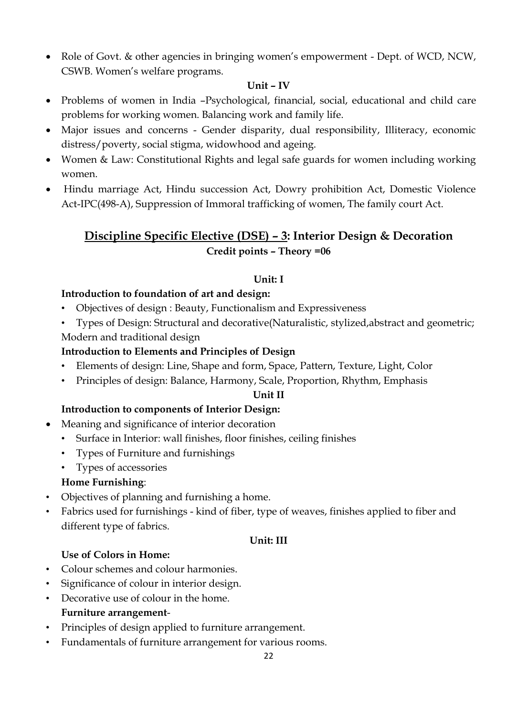• Role of Govt. & other agencies in bringing women's empowerment - Dept. of WCD, NCW, CSWB. Women's welfare programs.

#### **Unit – IV**

- Problems of women in India –Psychological, financial, social, educational and child care problems for working women. Balancing work and family life.
- Major issues and concerns Gender disparity, dual responsibility, Illiteracy, economic distress/poverty, social stigma, widowhood and ageing.
- Women & Law: Constitutional Rights and legal safe guards for women including working women.
- Hindu marriage Act, Hindu succession Act, Dowry prohibition Act, Domestic Violence Act-IPC(498-A), Suppression of Immoral trafficking of women, The family court Act.

## **Discipline Specific Elective (DSE) – 3: Interior Design & Decoration Credit points – Theory =06**

### **Unit: I**

### **Introduction to foundation of art and design:**

- Objectives of design : Beauty, Functionalism and Expressiveness
- Types of Design: Structural and decorative(Naturalistic, stylized,abstract and geometric; Modern and traditional design

## **Introduction to Elements and Principles of Design**

- Elements of design: Line, Shape and form, Space, Pattern, Texture, Light, Color
- Principles of design: Balance, Harmony, Scale, Proportion, Rhythm, Emphasis

#### **Unit II**

### **Introduction to components of Interior Design:**

- Meaning and significance of interior decoration
	- Surface in Interior: wall finishes, floor finishes, ceiling finishes
	- Types of Furniture and furnishings
	- Types of accessories

### **Home Furnishing**:

- Objectives of planning and furnishing a home.
- Fabrics used for furnishings kind of fiber, type of weaves, finishes applied to fiber and different type of fabrics.

#### **Unit: III**

### **Use of Colors in Home:**

- Colour schemes and colour harmonies.
- Significance of colour in interior design.
- Decorative use of colour in the home. **Furniture arrangement**-
- Principles of design applied to furniture arrangement.
- Fundamentals of furniture arrangement for various rooms.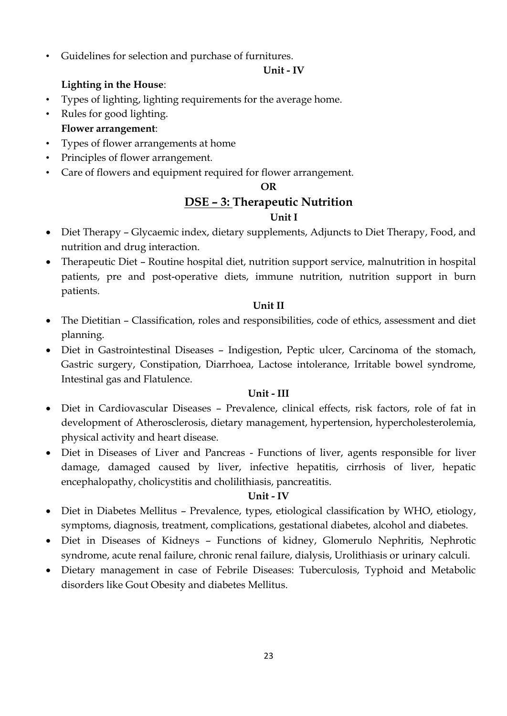• Guidelines for selection and purchase of furnitures.

#### **Unit - IV**

### **Lighting in the House**:

- Types of lighting, lighting requirements for the average home.
- Rules for good lighting.

## **Flower arrangement**:

- Types of flower arrangements at home
- Principles of flower arrangement.
- Care of flowers and equipment required for flower arrangement.

#### **OR**

## **DSE – 3: Therapeutic Nutrition**

#### **Unit I**

- Diet Therapy Glycaemic index, dietary supplements, Adjuncts to Diet Therapy, Food, and nutrition and drug interaction.
- Therapeutic Diet Routine hospital diet, nutrition support service, malnutrition in hospital patients, pre and post-operative diets, immune nutrition, nutrition support in burn patients.

#### **Unit II**

- The Dietitian Classification, roles and responsibilities, code of ethics, assessment and diet planning.
- Diet in Gastrointestinal Diseases Indigestion, Peptic ulcer, Carcinoma of the stomach, Gastric surgery, Constipation, Diarrhoea, Lactose intolerance, Irritable bowel syndrome, Intestinal gas and Flatulence.

#### **Unit - III**

- Diet in Cardiovascular Diseases Prevalence, clinical effects, risk factors, role of fat in development of Atherosclerosis, dietary management, hypertension, hypercholesterolemia, physical activity and heart disease.
- Diet in Diseases of Liver and Pancreas Functions of liver, agents responsible for liver damage, damaged caused by liver, infective hepatitis, cirrhosis of liver, hepatic encephalopathy, cholicystitis and cholilithiasis, pancreatitis.

#### **Unit - IV**

- Diet in Diabetes Mellitus Prevalence, types, etiological classification by WHO, etiology, symptoms, diagnosis, treatment, complications, gestational diabetes, alcohol and diabetes.
- Diet in Diseases of Kidneys Functions of kidney, Glomerulo Nephritis, Nephrotic syndrome, acute renal failure, chronic renal failure, dialysis, Urolithiasis or urinary calculi.
- Dietary management in case of Febrile Diseases: Tuberculosis, Typhoid and Metabolic disorders like Gout Obesity and diabetes Mellitus.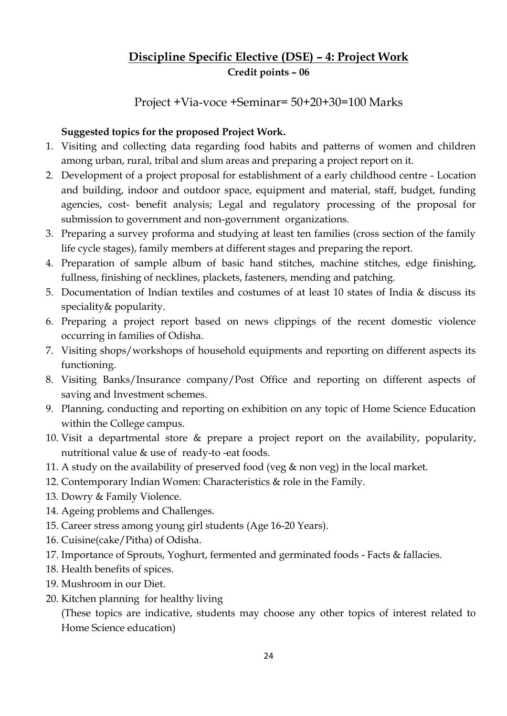## **Discipline Specific Elective (DSE) – 4: Project Work Credit points – 06**

Project +Via-voce +Seminar= 50+20+30=100 Marks

### **Suggested topics for the proposed Project Work.**

- 1. Visiting and collecting data regarding food habits and patterns of women and children among urban, rural, tribal and slum areas and preparing a project report on it.
- 2. Development of a project proposal for establishment of a early childhood centre Location and building, indoor and outdoor space, equipment and material, staff, budget, funding agencies, cost- benefit analysis; Legal and regulatory processing of the proposal for submission to government and non-government organizations.
- 3. Preparing a survey proforma and studying at least ten families (cross section of the family life cycle stages), family members at different stages and preparing the report.
- 4. Preparation of sample album of basic hand stitches, machine stitches, edge finishing, fullness, finishing of necklines, plackets, fasteners, mending and patching.
- 5. Documentation of Indian textiles and costumes of at least 10 states of India & discuss its speciality& popularity.
- 6. Preparing a project report based on news clippings of the recent domestic violence occurring in families of Odisha.
- 7. Visiting shops/workshops of household equipments and reporting on different aspects its functioning.
- 8. Visiting Banks/Insurance company/Post Office and reporting on different aspects of saving and Investment schemes.
- 9. Planning, conducting and reporting on exhibition on any topic of Home Science Education within the College campus.
- 10. Visit a departmental store & prepare a project report on the availability, popularity, nutritional value & use of ready-to -eat foods.
- 11. A study on the availability of preserved food (veg & non veg) in the local market.
- 12. Contemporary Indian Women: Characteristics & role in the Family.
- 13. Dowry & Family Violence.
- 14. Ageing problems and Challenges.
- 15. Career stress among young girl students (Age 16-20 Years).
- 16. Cuisine(cake/Pitha) of Odisha.
- 17. Importance of Sprouts, Yoghurt, fermented and germinated foods Facts & fallacies.
- 18. Health benefits of spices.
- 19. Mushroom in our Diet.
- 20. Kitchen planning for healthy living

(These topics are indicative, students may choose any other topics of interest related to Home Science education)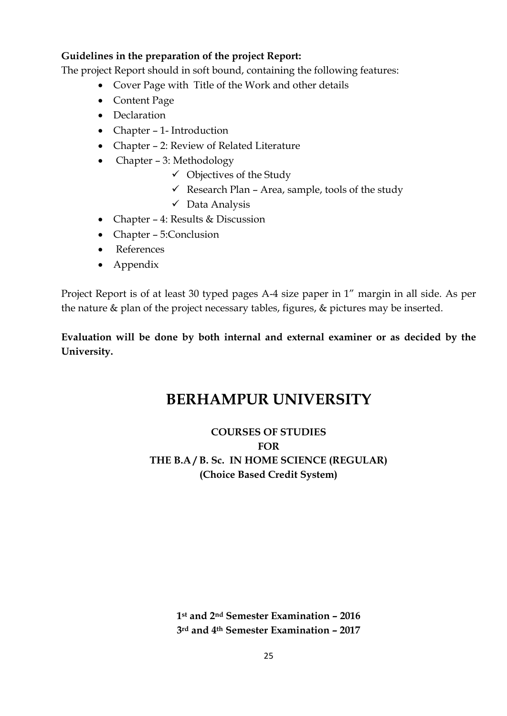#### **Guidelines in the preparation of the project Report:**

The project Report should in soft bound, containing the following features:

- Cover Page with Title of the Work and other details
- Content Page
- Declaration
- Chapter 1- Introduction
- Chapter 2: Review of Related Literature
- Chapter 3: Methodology
	- $\checkmark$  Objectives of the Study
	- $\checkmark$  Research Plan Area, sample, tools of the study
	- $\checkmark$  Data Analysis
- Chapter 4: Results & Discussion
- Chapter 5:Conclusion
- References
- Appendix

Project Report is of at least 30 typed pages A-4 size paper in 1" margin in all side. As per the nature & plan of the project necessary tables, figures, & pictures may be inserted.

### **Evaluation will be done by both internal and external examiner or as decided by the University.**

# **BERHAMPUR UNIVERSITY**

## **COURSES OF STUDIES FOR THE B.A / B. Sc. IN HOME SCIENCE (REGULAR) (Choice Based Credit System)**

**1st and 2nd Semester Examination – 2016 3rd and 4th Semester Examination – 2017**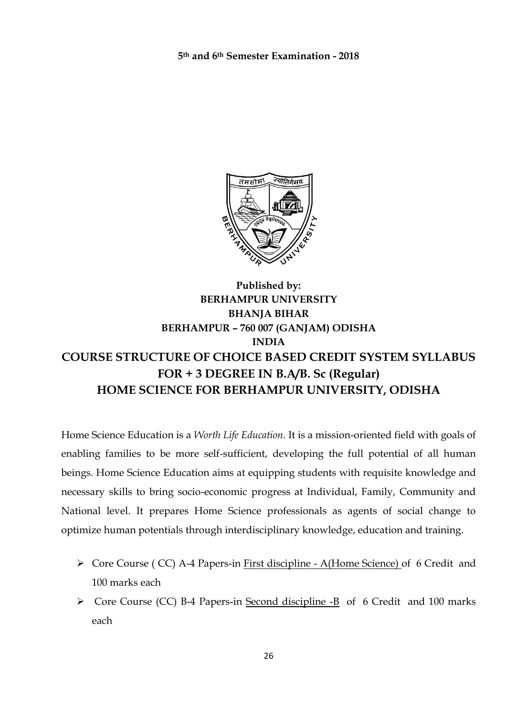**5th and 6th Semester Examination - 2018**



## **Published by: BERHAMPUR UNIVERSITY BHANJA BIHAR BERHAMPUR – 760 007 (GANJAM) ODISHA INDIA COURSE STRUCTURE OF CHOICE BASED CREDIT SYSTEM SYLLABUS FOR + 3 DEGREE IN B.A/B. Sc (Regular) HOME SCIENCE FOR BERHAMPUR UNIVERSITY, ODISHA**

Home Science Education is a *Worth Life Education*. It is a mission-oriented field with goals of enabling families to be more self-sufficient, developing the full potential of all human beings. Home Science Education aims at equipping students with requisite knowledge and necessary skills to bring socio-economic progress at Individual, Family, Community and National level. It prepares Home Science professionals as agents of social change to optimize human potentials through interdisciplinary knowledge, education and training.

- Core Course ( CC) A-4 Papers-in First discipline A(Home Science) of 6 Credit and 100 marks each
- Core Course (CC) B-4 Papers-in Second discipline -B of 6 Credit and 100 marks each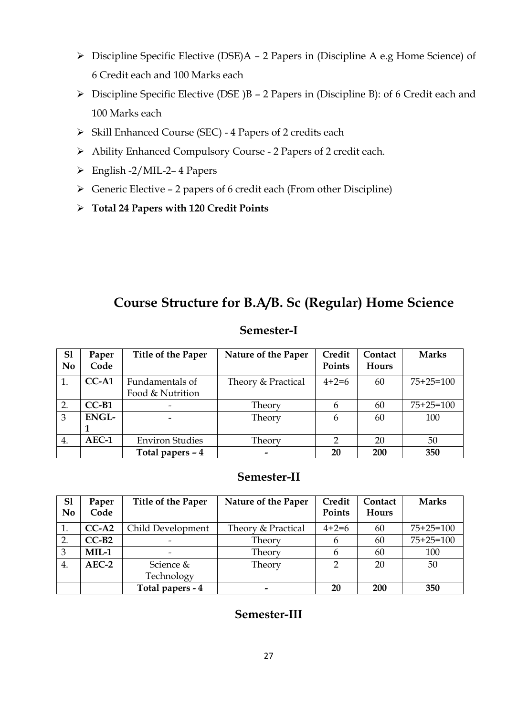- Discipline Specific Elective (DSE)A 2 Papers in (Discipline A e.g Home Science) of 6 Credit each and 100 Marks each
- $\triangleright$  Discipline Specific Elective (DSE )B 2 Papers in (Discipline B): of 6 Credit each and 100 Marks each
- $\triangleright$  Skill Enhanced Course (SEC) 4 Papers of 2 credits each
- Ability Enhanced Compulsory Course 2 Papers of 2 credit each.
- English -2/MIL-2– 4 Papers
- $\triangleright$  Generic Elective 2 papers of 6 credit each (From other Discipline)
- **Total 24 Papers with 120 Credit Points**

## **Course Structure for B.A/B. Sc (Regular) Home Science**

#### **Semester-I**

| S <sub>1</sub> | Paper        | Title of the Paper     | Nature of the Paper      | Credit  | Contact | <b>Marks</b> |
|----------------|--------------|------------------------|--------------------------|---------|---------|--------------|
| N <sub>0</sub> | Code         |                        |                          | Points  | Hours   |              |
| 1.             | $CC-A1$      | Fundamentals of        | Theory & Practical       | $4+2=6$ | 60      | $75+25=100$  |
|                |              | Food & Nutrition       |                          |         |         |              |
| 2.             | $CC-B1$      |                        | Theory                   | 6       | 60      | $75+25=100$  |
| $\overline{3}$ | <b>ENGL-</b> |                        | Theory                   | 6       | 60      | 100          |
|                |              |                        |                          |         |         |              |
| 4.             | AEC-1        | <b>Environ Studies</b> | Theory                   | າ       | 20      | 50           |
|                |              | Total papers - 4       | $\overline{\phantom{0}}$ | 20      | 200     | 350          |

#### **Semester-II**

| S <sub>1</sub> | Paper   | Title of the Paper | Nature of the Paper      | Credit  | Contact    | <b>Marks</b> |
|----------------|---------|--------------------|--------------------------|---------|------------|--------------|
| N <sub>0</sub> | Code    |                    |                          | Points  | Hours      |              |
| 1.             | $CC-A2$ | Child Development  | Theory & Practical       | $4+2=6$ | 60         | $75+25=100$  |
| 2.             | $CC-B2$ |                    | Theory                   |         | 60         | $75+25=100$  |
| 3              | $MIL-1$ |                    | Theory                   |         | 60         | 100          |
| 4.             | $AEC-2$ | Science &          | Theory                   |         | 20         | 50           |
|                |         | Technology         |                          |         |            |              |
|                |         | Total papers - 4   | $\overline{\phantom{0}}$ | 20      | <b>200</b> | 350          |

### **Semester-III**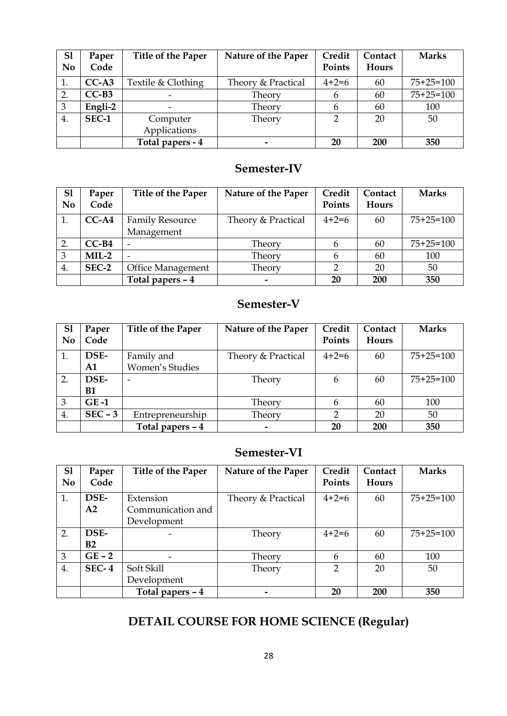| S <sub>1</sub> | Paper        | Title of the Paper | Nature of the Paper | Credit        | Contact | <b>Marks</b> |
|----------------|--------------|--------------------|---------------------|---------------|---------|--------------|
| N <sub>0</sub> | Code         |                    |                     | Points        | Hours   |              |
| 1.             | $CC-A3$      | Textile & Clothing | Theory & Practical  | $4+2=6$       | 60      | $75+25=100$  |
| 2.             | $CC-B3$      |                    | Theory              | n             | 60      | $75+25=100$  |
| $\overline{3}$ | Engli-2      |                    | Theory              |               | 60      | 100          |
| 4.             | <b>SEC-1</b> | Computer           | Theory              | $\mathcal{D}$ | 20      | 50           |
|                |              | Applications       |                     |               |         |              |
|                |              | Total papers - 4   |                     | 20            | 200     | 350          |

## **Semester-IV**

| S <sub>1</sub> | Paper   | Title of the Paper       | Nature of the Paper | Credit  | Contact | <b>Marks</b> |
|----------------|---------|--------------------------|---------------------|---------|---------|--------------|
| N <sub>0</sub> | Code    |                          |                     | Points  | Hours   |              |
| 1.             | $CC-A4$ | <b>Family Resource</b>   | Theory & Practical  | $4+2=6$ | 60      | $75+25=100$  |
|                |         | Management               |                     |         |         |              |
| 2.             | $CC-B4$ |                          | Theory              |         | 60      | $75+25=100$  |
| 3              | $MIL-2$ |                          | Theory              |         | 60      | 100          |
| 4.             | SEC-2   | <b>Office Management</b> | Theory              |         | 20      | 50           |
|                |         | Total papers - 4         |                     | 20      | 200     | 350          |

## **Semester-V**

| S <sub>1</sub><br>No | Paper<br>Code | Title of the Paper | Nature of the Paper      | Credit<br>Points | Contact<br><b>Hours</b> | <b>Marks</b> |
|----------------------|---------------|--------------------|--------------------------|------------------|-------------------------|--------------|
| 1.                   | DSE-          | Family and         | Theory & Practical       | $4+2=6$          | 60                      | $75+25=100$  |
|                      | A1            | Women's Studies    |                          |                  |                         |              |
| 2.                   | DSE-          |                    | Theory                   | 6                | 60                      | $75+25=100$  |
|                      | <b>B1</b>     |                    |                          |                  |                         |              |
| 3                    | $GE-1$        |                    | Theory                   | 6                | 60                      | 100          |
| 4.                   | $SEC - 3$     | Entrepreneurship   | Theory                   | າ                | 20                      | 50           |
|                      |               | Total papers - 4   | $\overline{\phantom{0}}$ | 20               | 200                     | 350          |

## **Semester-VI**

| S <sub>1</sub><br>N <sub>0</sub> | Paper<br>Code  | <b>Title of the Paper</b> | Nature of the Paper | Credit<br>Points | Contact<br><b>Hours</b> | <b>Marks</b> |
|----------------------------------|----------------|---------------------------|---------------------|------------------|-------------------------|--------------|
| 1.                               | DSE-           | Extension                 | Theory & Practical  | $4+2=6$          | 60                      | $75+25=100$  |
|                                  | A <sub>2</sub> | Communication and         |                     |                  |                         |              |
|                                  |                | Development               |                     |                  |                         |              |
| 2.                               | DSE-           |                           | Theory              | $4+2=6$          | 60                      | $75+25=100$  |
|                                  | B <sub>2</sub> |                           |                     |                  |                         |              |
| 3                                | $GE - 2$       |                           | Theory              | 6                | 60                      | 100          |
| 4.                               | $SEC-4$        | Soft Skill                | Theory              | $\mathcal{D}$    | 20                      | 50           |
|                                  |                | Development               |                     |                  |                         |              |
|                                  |                | Total papers - 4          |                     | 20               | 200                     | 350          |

# **DETAIL COURSE FOR HOME SCIENCE (Regular)**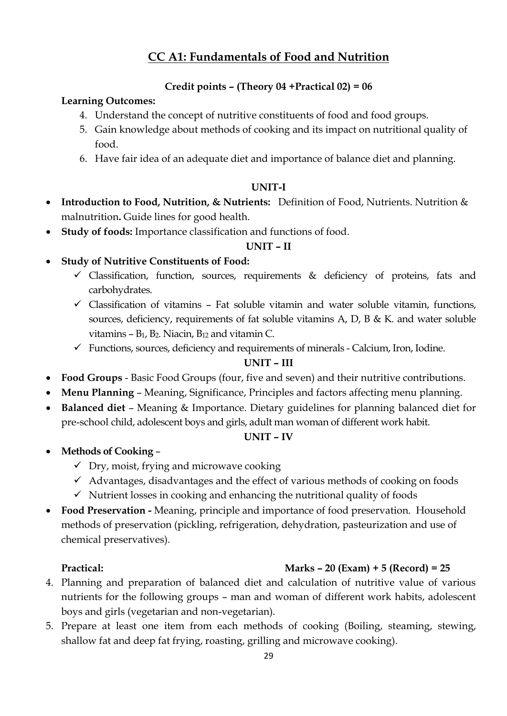## **CC A1: Fundamentals of Food and Nutrition**

#### **Credit points – (Theory 04 +Practical 02) = 06**

#### **Learning Outcomes:**

- 4. Understand the concept of nutritive constituents of food and food groups.
- 5. Gain knowledge about methods of cooking and its impact on nutritional quality of food.
- 6. Have fair idea of an adequate diet and importance of balance diet and planning.

#### **UNIT-I**

- **Introduction to Food, Nutrition, & Nutrients:** Definition of Food, Nutrients. Nutrition & malnutrition**.** Guide lines for good health.
- **Study of foods:** Importance classification and functions of food.

#### **UNIT – II**

- **Study of Nutritive Constituents of Food:**
	- $\checkmark$  Classification, function, sources, requirements  $\&$  deficiency of proteins, fats and carbohydrates.
	- $\checkmark$  Classification of vitamins Fat soluble vitamin and water soluble vitamin, functions, sources, deficiency, requirements of fat soluble vitamins A, D, B & K. and water soluble vitamins  $- B_1$ ,  $B_2$ . Niacin,  $B_{12}$  and vitamin C.
	- $\checkmark$  Functions, sources, deficiency and requirements of minerals Calcium, Iron, Iodine.

#### **UNIT – III**

- **Food Groups** Basic Food Groups (four, five and seven) and their nutritive contributions.
- **Menu Planning** Meaning, Significance, Principles and factors affecting menu planning.
- **Balanced diet** Meaning & Importance. Dietary guidelines for planning balanced diet for pre-school child, adolescent boys and girls, adult man woman of different work habit.

#### **UNIT – IV**

- **Methods of Cooking**
	- $\checkmark$  Dry, moist, frying and microwave cooking
	- $\checkmark$  Advantages, disadvantages and the effect of various methods of cooking on foods
	- $\checkmark$  Nutrient losses in cooking and enhancing the nutritional quality of foods
- **Food Preservation -** Meaning, principle and importance of food preservation. Household methods of preservation (pickling, refrigeration, dehydration, pasteurization and use of chemical preservatives).

### **Practical: Marks – 20 (Exam) + 5 (Record) = 25**

- 4. Planning and preparation of balanced diet and calculation of nutritive value of various nutrients for the following groups – man and woman of different work habits, adolescent boys and girls (vegetarian and non-vegetarian).
- 5. Prepare at least one item from each methods of cooking (Boiling, steaming, stewing, shallow fat and deep fat frying, roasting, grilling and microwave cooking).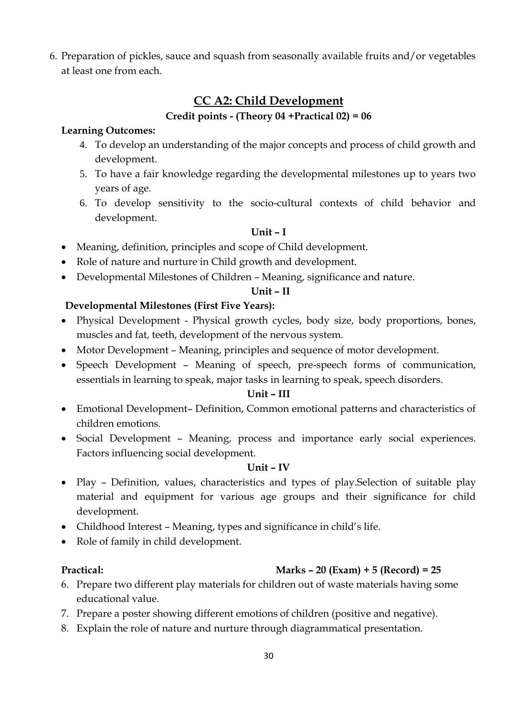6. Preparation of pickles, sauce and squash from seasonally available fruits and/or vegetables at least one from each.

## **CC A2: Child Development**

#### **Credit points - (Theory 04 +Practical 02) = 06**

#### **Learning Outcomes:**

- 4. To develop an understanding of the major concepts and process of child growth and development.
- 5. To have a fair knowledge regarding the developmental milestones up to years two years of age.
- 6. To develop sensitivity to the socio-cultural contexts of child behavior and development.

#### **Unit – I**

- Meaning, definition, principles and scope of Child development.
- Role of nature and nurture in Child growth and development.
- Developmental Milestones of Children Meaning, significance and nature.

#### **Unit – II**

### **Developmental Milestones (First Five Years):**

- Physical Development Physical growth cycles, body size, body proportions, bones, muscles and fat, teeth, development of the nervous system.
- Motor Development Meaning, principles and sequence of motor development.
- Speech Development Meaning of speech, pre-speech forms of communication, essentials in learning to speak, major tasks in learning to speak, speech disorders.

#### **Unit – III**

- Emotional Development– Definition, Common emotional patterns and characteristics of children emotions.
- Social Development Meaning, process and importance early social experiences. Factors influencing social development.

#### **Unit – IV**

- Play Definition, values, characteristics and types of play. Selection of suitable play material and equipment for various age groups and their significance for child development.
- Childhood Interest Meaning, types and significance in child's life.
- Role of family in child development.

## **Practical: Marks – 20 (Exam) + 5 (Record) = 25**

- 6. Prepare two different play materials for children out of waste materials having some educational value.
- 7. Prepare a poster showing different emotions of children (positive and negative).
- 8. Explain the role of nature and nurture through diagrammatical presentation.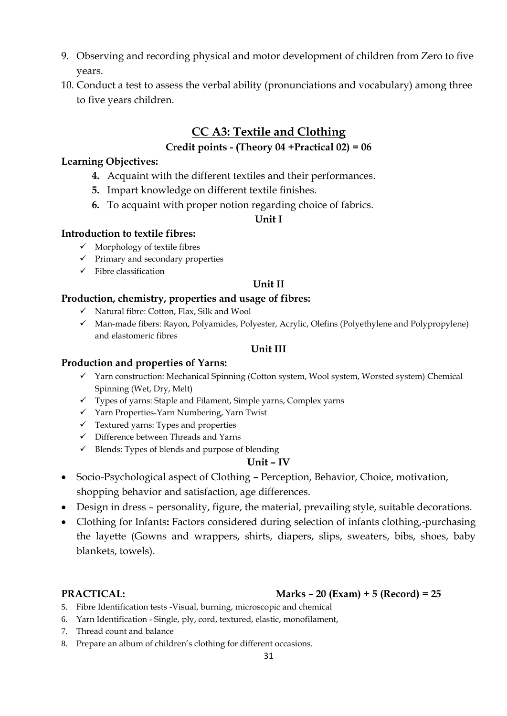- 9. Observing and recording physical and motor development of children from Zero to five years.
- 10. Conduct a test to assess the verbal ability (pronunciations and vocabulary) among three to five years children.

## **CC A3: Textile and Clothing**

#### **Credit points - (Theory 04 +Practical 02) = 06**

#### **Learning Objectives:**

- **4.** Acquaint with the different textiles and their performances.
- **5.** Impart knowledge on different textile finishes.
- **6.** To acquaint with proper notion regarding choice of fabrics.

#### **Unit I**

#### **Introduction to textile fibres:**

- $\checkmark$  Morphology of textile fibres
- $\checkmark$  Primary and secondary properties
- $\checkmark$  Fibre classification

#### **Unit II**

#### **Production, chemistry, properties and usage of fibres:**

- $\checkmark$  Natural fibre: Cotton, Flax, Silk and Wool
- $\checkmark$  Man-made fibers: Rayon, Polyamides, Polyester, Acrylic, Olefins (Polyethylene and Polypropylene) and elastomeric fibres

#### **Unit III**

#### **Production and properties of Yarns:**

- Yarn construction: Mechanical Spinning (Cotton system, Wool system, Worsted system) Chemical Spinning (Wet, Dry, Melt)
- Types of yarns: Staple and Filament, Simple yarns, Complex yarns
- $\checkmark$  Yarn Properties-Yarn Numbering, Yarn Twist
- $\checkmark$  Textured yarns: Types and properties
- $\checkmark$  Difference between Threads and Yarns
- $\checkmark$  Blends: Types of blends and purpose of blending

#### **Unit – IV**

- Socio-Psychological aspect of Clothing **–** Perception, Behavior, Choice, motivation, shopping behavior and satisfaction, age differences.
- Design in dress personality, figure, the material, prevailing style, suitable decorations.
- Clothing for Infants**:** Factors considered during selection of infants clothing,-purchasing the layette (Gowns and wrappers, shirts, diapers, slips, sweaters, bibs, shoes, baby blankets, towels).

### **PRACTICAL: Marks – 20 (Exam) + 5 (Record) = 25**

- 5. Fibre Identification tests -Visual, burning, microscopic and chemical
- 6. Yarn Identification Single, ply, cord, textured, elastic, monofilament,
- 7. Thread count and balance
- 8. Prepare an album of children's clothing for different occasions.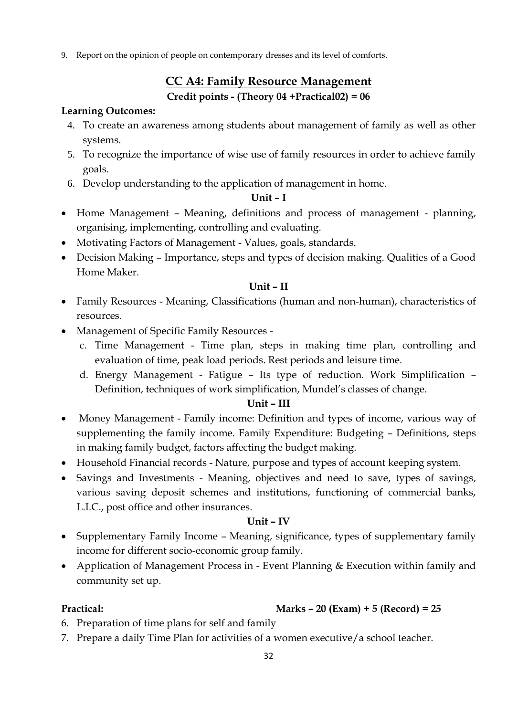9. Report on the opinion of people on contemporary dresses and its level of comforts.

## **CC A4: Family Resource Management**

#### **Credit points - (Theory 04 +Practical02) = 06**

#### **Learning Outcomes:**

- 4. To create an awareness among students about management of family as well as other systems.
- 5. To recognize the importance of wise use of family resources in order to achieve family goals.
- 6. Develop understanding to the application of management in home.

#### **Unit – I**

- Home Management Meaning, definitions and process of management planning, organising, implementing, controlling and evaluating.
- Motivating Factors of Management Values, goals, standards.
- Decision Making Importance, steps and types of decision making. Qualities of a Good Home Maker.

#### **Unit – II**

- Family Resources Meaning, Classifications (human and non-human), characteristics of resources.
- Management of Specific Family Resources
	- c. Time Management Time plan, steps in making time plan, controlling and evaluation of time, peak load periods. Rest periods and leisure time.
	- d. Energy Management Fatigue Its type of reduction. Work Simplification Definition, techniques of work simplification, Mundel's classes of change.

#### **Unit – III**

- Money Management Family income: Definition and types of income, various way of supplementing the family income. Family Expenditure: Budgeting – Definitions, steps in making family budget, factors affecting the budget making.
- Household Financial records Nature, purpose and types of account keeping system.
- Savings and Investments Meaning, objectives and need to save, types of savings, various saving deposit schemes and institutions, functioning of commercial banks, L.I.C., post office and other insurances.

#### **Unit – IV**

- Supplementary Family Income Meaning, significance, types of supplementary family income for different socio-economic group family.
- Application of Management Process in Event Planning & Execution within family and community set up.

#### **Practical: Marks – 20 (Exam) + 5 (Record) = 25**

- 6. Preparation of time plans for self and family
- 7. Prepare a daily Time Plan for activities of a women executive/a school teacher.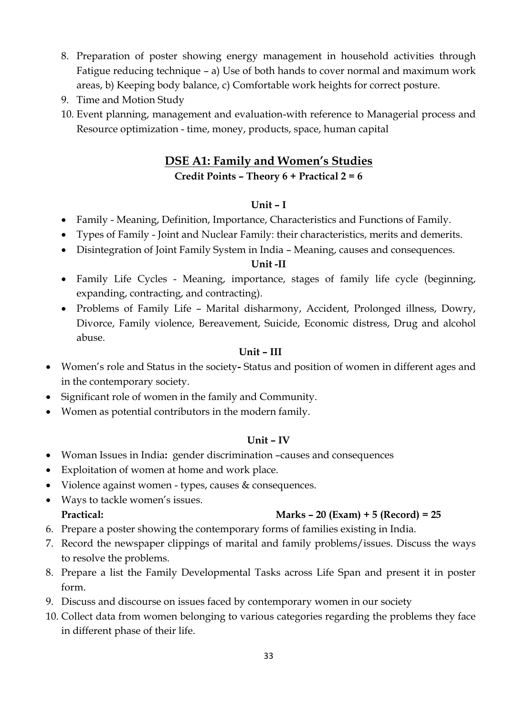- 8. Preparation of poster showing energy management in household activities through Fatigue reducing technique – a) Use of both hands to cover normal and maximum work areas, b) Keeping body balance, c) Comfortable work heights for correct posture.
- 9. Time and Motion Study
- 10. Event planning, management and evaluation-with reference to Managerial process and Resource optimization - time, money, products, space, human capital

#### **DSE A1: Family and Women's Studies**

#### **Credit Points – Theory 6 + Practical 2 = 6**

#### **Unit – I**

- Family Meaning, Definition, Importance, Characteristics and Functions of Family.
- Types of Family Joint and Nuclear Family: their characteristics, merits and demerits.
- Disintegration of Joint Family System in India Meaning, causes and consequences.

#### **Unit -II**

- Family Life Cycles Meaning, importance, stages of family life cycle (beginning, expanding, contracting, and contracting).
- Problems of Family Life Marital disharmony, Accident, Prolonged illness, Dowry, Divorce, Family violence, Bereavement, Suicide, Economic distress, Drug and alcohol abuse.

#### **Unit – III**

- Women's role and Status in the society**-** Status and position of women in different ages and in the contemporary society.
- Significant role of women in the family and Community.
- Women as potential contributors in the modern family.

#### **Unit – IV**

- Woman Issues in India**:** gender discrimination –causes and consequences
- Exploitation of women at home and work place.
- Violence against women types, causes & consequences.
- Ways to tackle women's issues. **Practical: Marks – 20 (Exam) + 5 (Record) = 25**
- 6. Prepare a poster showing the contemporary forms of families existing in India.
- 7. Record the newspaper clippings of marital and family problems/issues. Discuss the ways to resolve the problems.
- 8. Prepare a list the Family Developmental Tasks across Life Span and present it in poster form.
- 9. Discuss and discourse on issues faced by contemporary women in our society
- 10. Collect data from women belonging to various categories regarding the problems they face in different phase of their life.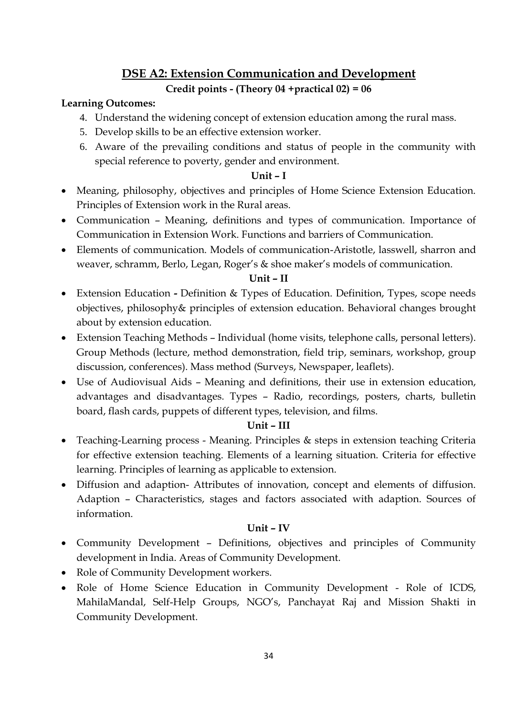# **DSE A2: Extension Communication and Development**

#### **Credit points - (Theory 04 +practical 02) = 06**

#### **Learning Outcomes:**

- 4. Understand the widening concept of extension education among the rural mass.
- 5. Develop skills to be an effective extension worker.
- 6. Aware of the prevailing conditions and status of people in the community with special reference to poverty, gender and environment.

#### **Unit – I**

- Meaning, philosophy, objectives and principles of Home Science Extension Education. Principles of Extension work in the Rural areas.
- Communication Meaning, definitions and types of communication. Importance of Communication in Extension Work. Functions and barriers of Communication.
- Elements of communication. Models of communication-Aristotle, lasswell, sharron and weaver, schramm, Berlo, Legan, Roger's & shoe maker's models of communication.

#### **Unit – II**

- Extension Education **-** Definition & Types of Education. Definition, Types, scope needs objectives, philosophy& principles of extension education. Behavioral changes brought about by extension education.
- Extension Teaching Methods Individual (home visits, telephone calls, personal letters). Group Methods (lecture, method demonstration, field trip, seminars, workshop, group discussion, conferences). Mass method (Surveys, Newspaper, leaflets).
- Use of Audiovisual Aids Meaning and definitions, their use in extension education, advantages and disadvantages. Types – Radio, recordings, posters, charts, bulletin board, flash cards, puppets of different types, television, and films.

#### **Unit – III**

- Teaching-Learning process Meaning. Principles & steps in extension teaching Criteria for effective extension teaching. Elements of a learning situation. Criteria for effective learning. Principles of learning as applicable to extension.
- Diffusion and adaption- Attributes of innovation, concept and elements of diffusion. Adaption – Characteristics, stages and factors associated with adaption. Sources of information.

#### **Unit – IV**

- Community Development Definitions, objectives and principles of Community development in India. Areas of Community Development.
- Role of Community Development workers.
- Role of Home Science Education in Community Development Role of ICDS, MahilaMandal, Self-Help Groups, NGO's, Panchayat Raj and Mission Shakti in Community Development.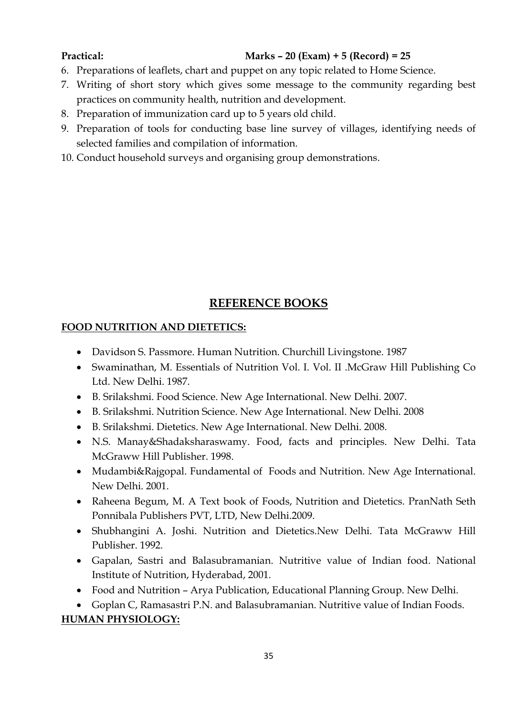#### **Practical: Marks – 20 (Exam) + 5 (Record) = 25**

- 6. Preparations of leaflets, chart and puppet on any topic related to Home Science.
- 7. Writing of short story which gives some message to the community regarding best practices on community health, nutrition and development.
- 8. Preparation of immunization card up to 5 years old child.
- 9. Preparation of tools for conducting base line survey of villages, identifying needs of selected families and compilation of information.
- 10. Conduct household surveys and organising group demonstrations.

### **REFERENCE BOOKS**

#### **FOOD NUTRITION AND DIETETICS:**

- Davidson S. Passmore. Human Nutrition. Churchill Livingstone. 1987
- Swaminathan, M. Essentials of Nutrition Vol. I. Vol. II .McGraw Hill Publishing Co Ltd. New Delhi. 1987.
- B. Srilakshmi. Food Science. New Age International. New Delhi. 2007.
- B. Srilakshmi. Nutrition Science. New Age International. New Delhi. 2008
- B. Srilakshmi. Dietetics. New Age International. New Delhi. 2008.
- N.S. Manay&Shadaksharaswamy. Food, facts and principles. New Delhi. Tata McGraww Hill Publisher. 1998.
- Mudambi&Rajgopal. Fundamental of Foods and Nutrition. New Age International. New Delhi. 2001.
- Raheena Begum, M. A Text book of Foods, Nutrition and Dietetics. PranNath Seth Ponnibala Publishers PVT, LTD, New Delhi.2009.
- Shubhangini A. Joshi. Nutrition and Dietetics.New Delhi. Tata McGraww Hill Publisher. 1992.
- Gapalan, Sastri and Balasubramanian. Nutritive value of Indian food. National Institute of Nutrition, Hyderabad, 2001.
- Food and Nutrition Arya Publication, Educational Planning Group. New Delhi.

 Goplan C, Ramasastri P.N. and Balasubramanian. Nutritive value of Indian Foods. **HUMAN PHYSIOLOGY:**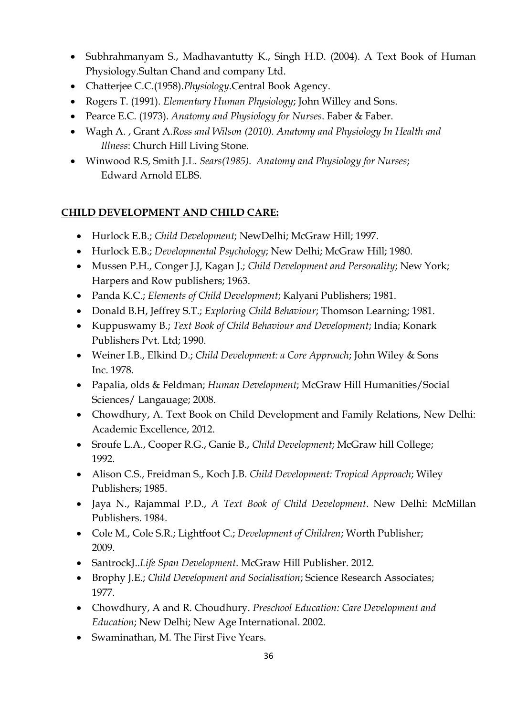- Subhrahmanyam S., Madhavantutty K., Singh H.D. (2004). A Text Book of Human Physiology.Sultan Chand and company Ltd.
- Chatterjee C.C.(1958).*Physiology*.Central Book Agency.
- Rogers T. (1991). *Elementary Human Physiology*; John Willey and Sons.
- Pearce E.C. (1973). *Anatomy and Physiology for Nurses*. Faber & Faber.
- Wagh A. , Grant A.*Ross and Wilson (2010). Anatomy and Physiology In Health and Illness*: Church Hill Living Stone.
- Winwood R.S, Smith J.L. *Sears(1985). Anatomy and Physiology for Nurses*; Edward Arnold ELBS.

## **CHILD DEVELOPMENT AND CHILD CARE:**

- Hurlock E.B.; *Child Development*; NewDelhi; McGraw Hill; 1997.
- Hurlock E.B.; *Developmental Psychology*; New Delhi; McGraw Hill; 1980.
- Mussen P.H., Conger J.J, Kagan J.; *Child Development and Personality*; New York; Harpers and Row publishers; 1963.
- Panda K.C.; *Elements of Child Development*; Kalyani Publishers; 1981.
- Donald B.H, Jeffrey S.T.; *Exploring Child Behaviour*; Thomson Learning; 1981.
- Kuppuswamy B.; *Text Book of Child Behaviour and Development*; India; Konark Publishers Pvt. Ltd; 1990.
- Weiner I.B., Elkind D.; *Child Development: a Core Approach*; John Wiley & Sons Inc. 1978.
- Papalia, olds & Feldman; *Human Development*; McGraw Hill Humanities/Social Sciences/ Langauage; 2008.
- Chowdhury, A. Text Book on Child Development and Family Relations, New Delhi: Academic Excellence, 2012.
- Sroufe L.A., Cooper R.G., Ganie B., *Child Development*; McGraw hill College; 1992.
- Alison C.S., Freidman S., Koch J.B*. Child Development: Tropical Approach*; Wiley Publishers; 1985.
- Jaya N., Rajammal P.D., *A Text Book of Child Development*. New Delhi: McMillan Publishers. 1984.
- Cole M., Cole S.R.; Lightfoot C.; *Development of Children*; Worth Publisher; 2009.
- SantrockJ..*Life Span Development*. McGraw Hill Publisher. 2012.
- Brophy J.E.; *Child Development and Socialisation*; Science Research Associates; 1977.
- Chowdhury, A and R. Choudhury. *Preschool Education: Care Development and Education*; New Delhi; New Age International. 2002.
- Swaminathan, M. The First Five Years.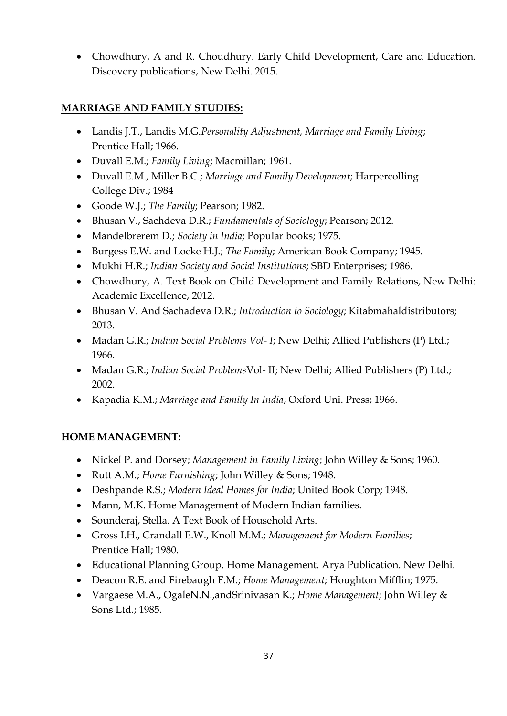• Chowdhury, A and R. Choudhury. Early Child Development, Care and Education. Discovery publications, New Delhi. 2015.

### **MARRIAGE AND FAMILY STUDIES:**

- Landis J.T., Landis M.G.*Personality Adjustment, Marriage and Family Living*; Prentice Hall; 1966.
- Duvall E.M.; *Family Living*; Macmillan; 1961.
- Duvall E.M., Miller B.C.; *Marriage and Family Development*; Harpercolling College Div.; 1984
- Goode W.J.; *The Family*; Pearson; 1982.
- Bhusan V., Sachdeva D.R.; *Fundamentals of Sociology*; Pearson; 2012.
- Mandelbrerem D.; *Society in India*; Popular books; 1975.
- Burgess E.W. and Locke H.J.; *The Family*; American Book Company; 1945.
- Mukhi H.R.; *Indian Society and Social Institutions*; SBD Enterprises; 1986.
- Chowdhury, A. Text Book on Child Development and Family Relations, New Delhi: Academic Excellence, 2012.
- Bhusan V. And Sachadeva D.R.; *Introduction to Sociology*; Kitabmahaldistributors; 2013.
- Madan G.R.; *Indian Social Problems Vol- I*; New Delhi; Allied Publishers (P) Ltd.; 1966.
- Madan G.R.; *Indian Social Problems*Vol- II; New Delhi; Allied Publishers (P) Ltd.; 2002.
- Kapadia K.M.; *Marriage and Family In India*; Oxford Uni. Press; 1966.

### **HOME MANAGEMENT:**

- Nickel P. and Dorsey; *Management in Family Living*; John Willey & Sons; 1960.
- Rutt A.M.; *Home Furnishing*; John Willey & Sons; 1948.
- Deshpande R.S.; *Modern Ideal Homes for India*; United Book Corp; 1948.
- Mann, M.K. Home Management of Modern Indian families.
- Sounderaj, Stella. A Text Book of Household Arts.
- Gross I.H., Crandall E.W., Knoll M.M.; *Management for Modern Families*; Prentice Hall; 1980.
- Educational Planning Group. Home Management. Arya Publication. New Delhi.
- Deacon R.E. and Firebaugh F.M.; *Home Management*; Houghton Mifflin; 1975.
- Vargaese M.A., OgaleN.N.,andSrinivasan K.; *Home Management*; John Willey & Sons Ltd.; 1985.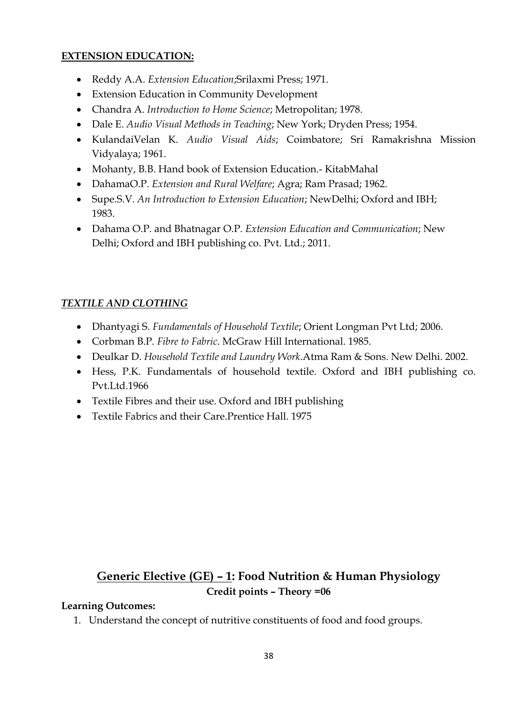#### **EXTENSION EDUCATION:**

- Reddy A.A. *Extension Education*;Srilaxmi Press; 1971.
- Extension Education in Community Development
- Chandra A. *Introduction to Home Science*; Metropolitan; 1978.
- Dale E. *Audio Visual Methods in Teaching*; New York; Dryden Press; 1954.
- KulandaiVelan K. *Audio Visual Aids*; Coimbatore; Sri Ramakrishna Mission Vidyalaya; 1961.
- Mohanty, B.B. Hand book of Extension Education.- KitabMahal
- DahamaO.P. *Extension and Rural Welfare*; Agra; Ram Prasad; 1962.
- Supe.S.V. *An Introduction to Extension Education*; NewDelhi; Oxford and IBH; 1983.
- Dahama O.P. and Bhatnagar O.P. *Extension Education and Communication*; New Delhi; Oxford and IBH publishing co. Pvt. Ltd.; 2011.

## *TEXTILE AND CLOTHING*

- Dhantyagi S. *Fundamentals of Household Textile*; Orient Longman Pvt Ltd; 2006.
- Corbman B.P. *Fibre to Fabric*. McGraw Hill International. 1985.
- Deulkar D. *Household Textile and Laundry Work*.Atma Ram & Sons. New Delhi. 2002.
- Hess, P.K. Fundamentals of household textile. Oxford and IBH publishing co. Pvt.Ltd.1966
- Textile Fibres and their use. Oxford and IBH publishing
- Textile Fabrics and their Care.Prentice Hall. 1975

## **Generic Elective (GE) – 1: Food Nutrition & Human Physiology Credit points – Theory =06**

#### **Learning Outcomes:**

1. Understand the concept of nutritive constituents of food and food groups.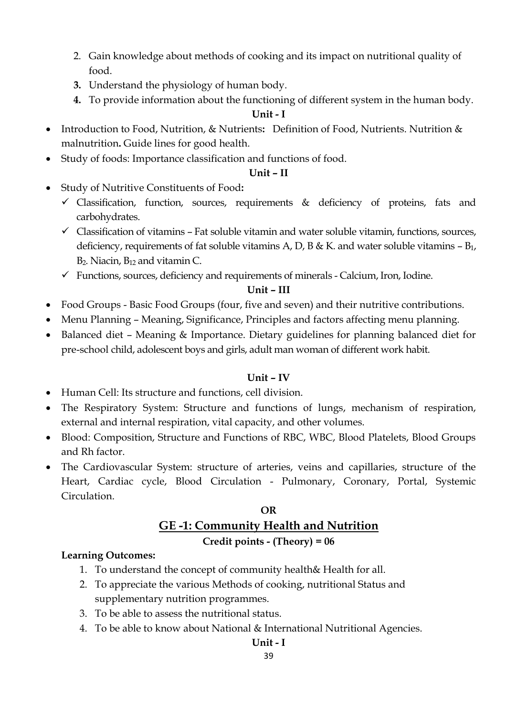- 2. Gain knowledge about methods of cooking and its impact on nutritional quality of food.
- **3.** Understand the physiology of human body.
- **4.** To provide information about the functioning of different system in the human body.

#### **Unit - I**

- Introduction to Food, Nutrition, & Nutrients**:** Definition of Food, Nutrients. Nutrition & malnutrition**.** Guide lines for good health.
- Study of foods: Importance classification and functions of food.

#### **Unit – II**

- Study of Nutritive Constituents of Food**:**
	- $\checkmark$  Classification, function, sources, requirements & deficiency of proteins, fats and carbohydrates.
	- $\checkmark$  Classification of vitamins Fat soluble vitamin and water soluble vitamin, functions, sources, deficiency, requirements of fat soluble vitamins A, D, B & K. and water soluble vitamins  $- B_1$ , B<sub>2</sub>. Niacin, B<sub>12</sub> and vitamin C.
	- $\checkmark$  Functions, sources, deficiency and requirements of minerals Calcium, Iron, Iodine.

#### **Unit – III**

- Food Groups Basic Food Groups (four, five and seven) and their nutritive contributions.
- Menu Planning Meaning, Significance, Principles and factors affecting menu planning.
- Balanced diet Meaning & Importance. Dietary guidelines for planning balanced diet for pre-school child, adolescent boys and girls, adult man woman of different work habit.

#### **Unit – IV**

- Human Cell: Its structure and functions, cell division.
- The Respiratory System: Structure and functions of lungs, mechanism of respiration, external and internal respiration, vital capacity, and other volumes.
- Blood: Composition, Structure and Functions of RBC, WBC, Blood Platelets, Blood Groups and Rh factor.
- The Cardiovascular System: structure of arteries, veins and capillaries, structure of the Heart, Cardiac cycle, Blood Circulation - Pulmonary, Coronary, Portal, Systemic Circulation.

## **OR GE -1: Community Health and Nutrition Credit points - (Theory) = 06**

#### **Learning Outcomes:**

- 1. To understand the concept of community health& Health for all.
- 2. To appreciate the various Methods of cooking, nutritional Status and supplementary nutrition programmes.
- 3. To be able to assess the nutritional status.
- 4. To be able to know about National & International Nutritional Agencies.

#### **Unit - I**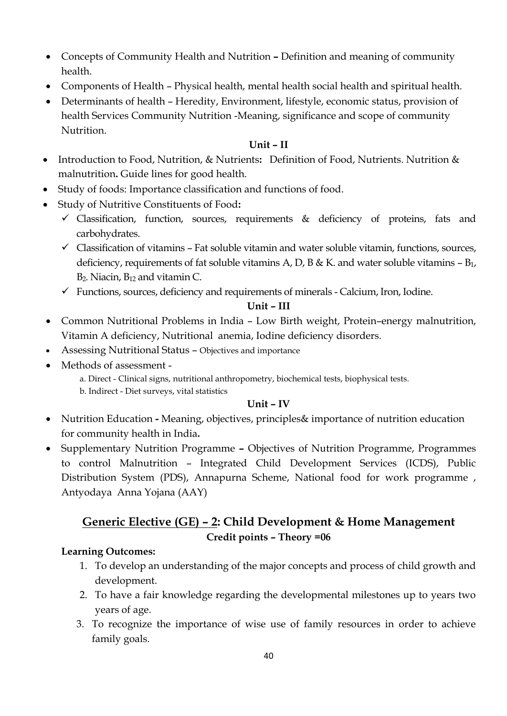- Concepts of Community Health and Nutrition **–** Definition and meaning of community health.
- Components of Health Physical health, mental health social health and spiritual health.
- Determinants of health Heredity, Environment, lifestyle, economic status, provision of health Services Community Nutrition -Meaning, significance and scope of community Nutrition.

#### **Unit – II**

- Introduction to Food, Nutrition, & Nutrients**:** Definition of Food, Nutrients. Nutrition & malnutrition**.** Guide lines for good health.
- Study of foods: Importance classification and functions of food.
- Study of Nutritive Constituents of Food**:**
	- Classification, function, sources, requirements & deficiency of proteins, fats and carbohydrates.
	- $\checkmark$  Classification of vitamins Fat soluble vitamin and water soluble vitamin, functions, sources, deficiency, requirements of fat soluble vitamins A, D, B & K. and water soluble vitamins  $- B_1$ , B<sub>2</sub>. Niacin, B<sub>12</sub> and vitamin C.
	- $\checkmark$  Functions, sources, deficiency and requirements of minerals Calcium, Iron, Iodine.

#### **Unit – III**

- Common Nutritional Problems in India Low Birth weight, Protein–energy malnutrition, Vitamin A deficiency, Nutritional anemia, Iodine deficiency disorders.
- Assessing Nutritional Status Objectives and importance
- Methods of assessment -

a. Direct - Clinical signs, nutritional anthropometry, biochemical tests, biophysical tests. b. Indirect - Diet surveys, vital statistics

#### **Unit – IV**

- Nutrition Education **-** Meaning, objectives, principles& importance of nutrition education for community health in India**.**
- Supplementary Nutrition Programme **–** Objectives of Nutrition Programme, Programmes to control Malnutrition – Integrated Child Development Services (ICDS), Public Distribution System (PDS), Annapurna Scheme, National food for work programme , Antyodaya Anna Yojana (AAY)

## **Generic Elective (GE) – 2: Child Development & Home Management Credit points – Theory =06**

#### **Learning Outcomes:**

- 1. To develop an understanding of the major concepts and process of child growth and development.
- 2. To have a fair knowledge regarding the developmental milestones up to years two years of age.
- 3. To recognize the importance of wise use of family resources in order to achieve family goals.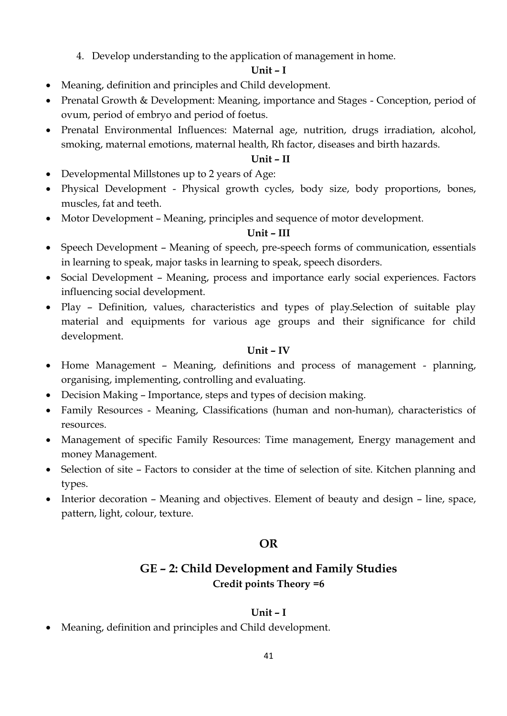4. Develop understanding to the application of management in home.

#### **Unit – I**

- Meaning, definition and principles and Child development.
- Prenatal Growth & Development: Meaning, importance and Stages Conception, period of ovum, period of embryo and period of foetus.
- Prenatal Environmental Influences: Maternal age, nutrition, drugs irradiation, alcohol, smoking, maternal emotions, maternal health, Rh factor, diseases and birth hazards.

#### **Unit – II**

- Developmental Millstones up to 2 years of Age:
- Physical Development Physical growth cycles, body size, body proportions, bones, muscles, fat and teeth.
- Motor Development Meaning, principles and sequence of motor development.

#### **Unit – III**

- Speech Development Meaning of speech, pre-speech forms of communication, essentials in learning to speak, major tasks in learning to speak, speech disorders.
- Social Development Meaning, process and importance early social experiences. Factors influencing social development.
- Play Definition, values, characteristics and types of play. Selection of suitable play material and equipments for various age groups and their significance for child development.

#### **Unit – IV**

- Home Management Meaning, definitions and process of management planning, organising, implementing, controlling and evaluating.
- Decision Making Importance, steps and types of decision making.
- Family Resources Meaning, Classifications (human and non-human), characteristics of resources.
- Management of specific Family Resources: Time management, Energy management and money Management.
- Selection of site Factors to consider at the time of selection of site. Kitchen planning and types.
- Interior decoration Meaning and objectives. Element of beauty and design line, space, pattern, light, colour, texture.

#### **OR**

## **GE – 2: Child Development and Family Studies Credit points Theory =6**

#### **Unit – I**

Meaning, definition and principles and Child development.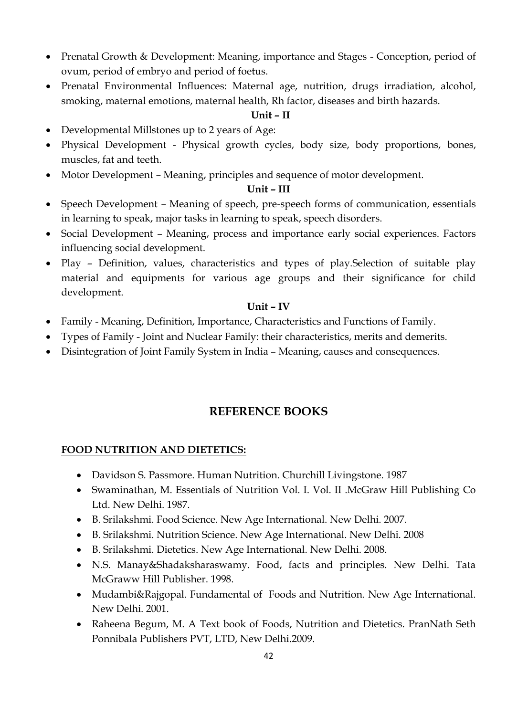- Prenatal Growth & Development: Meaning, importance and Stages Conception, period of ovum, period of embryo and period of foetus.
- Prenatal Environmental Influences: Maternal age, nutrition, drugs irradiation, alcohol, smoking, maternal emotions, maternal health, Rh factor, diseases and birth hazards.

#### **Unit – II**

- Developmental Millstones up to 2 years of Age:
- Physical Development Physical growth cycles, body size, body proportions, bones, muscles, fat and teeth.
- Motor Development Meaning, principles and sequence of motor development.

#### **Unit – III**

- Speech Development Meaning of speech, pre-speech forms of communication, essentials in learning to speak, major tasks in learning to speak, speech disorders.
- Social Development Meaning, process and importance early social experiences. Factors influencing social development.
- Play Definition, values, characteristics and types of play. Selection of suitable play material and equipments for various age groups and their significance for child development.

#### **Unit – IV**

- Family Meaning, Definition, Importance, Characteristics and Functions of Family.
- Types of Family Joint and Nuclear Family: their characteristics, merits and demerits.
- Disintegration of Joint Family System in India Meaning, causes and consequences.

## **REFERENCE BOOKS**

### **FOOD NUTRITION AND DIETETICS:**

- Davidson S. Passmore. Human Nutrition. Churchill Livingstone. 1987
- Swaminathan, M. Essentials of Nutrition Vol. I. Vol. II .McGraw Hill Publishing Co Ltd. New Delhi. 1987.
- B. Srilakshmi. Food Science. New Age International. New Delhi. 2007.
- B. Srilakshmi. Nutrition Science. New Age International. New Delhi. 2008
- B. Srilakshmi. Dietetics. New Age International. New Delhi. 2008.
- N.S. Manay&Shadaksharaswamy. Food, facts and principles. New Delhi. Tata McGraww Hill Publisher. 1998.
- Mudambi&Rajgopal. Fundamental of Foods and Nutrition. New Age International. New Delhi. 2001.
- Raheena Begum, M. A Text book of Foods, Nutrition and Dietetics. PranNath Seth Ponnibala Publishers PVT, LTD, New Delhi.2009.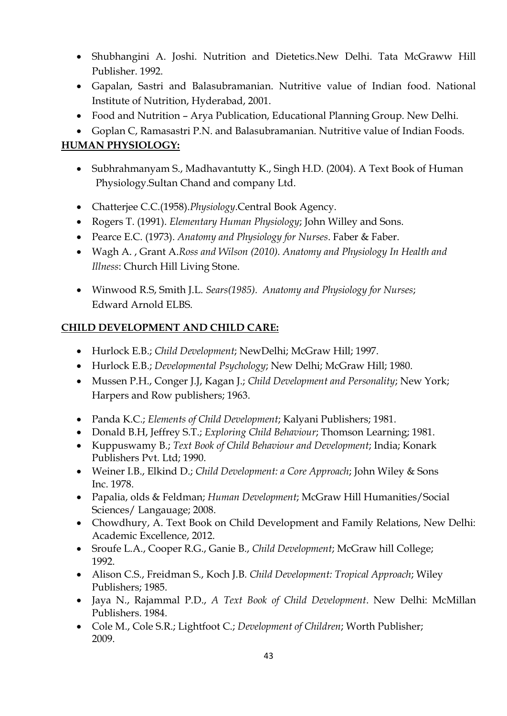- Shubhangini A. Joshi. Nutrition and Dietetics.New Delhi. Tata McGraww Hill Publisher. 1992.
- Gapalan, Sastri and Balasubramanian. Nutritive value of Indian food. National Institute of Nutrition, Hyderabad, 2001.
- Food and Nutrition Arya Publication, Educational Planning Group. New Delhi.
- Goplan C, Ramasastri P.N. and Balasubramanian. Nutritive value of Indian Foods.

#### **HUMAN PHYSIOLOGY:**

- Subhrahmanyam S., Madhavantutty K., Singh H.D. (2004). A Text Book of Human Physiology.Sultan Chand and company Ltd.
- Chatterjee C.C.(1958).*Physiology*.Central Book Agency.
- Rogers T. (1991). *Elementary Human Physiology*; John Willey and Sons.
- Pearce E.C. (1973). *Anatomy and Physiology for Nurses*. Faber & Faber.
- Wagh A. , Grant A.*Ross and Wilson (2010). Anatomy and Physiology In Health and Illness*: Church Hill Living Stone.
- Winwood R.S, Smith J.L. *Sears(1985). Anatomy and Physiology for Nurses*; Edward Arnold ELBS.

### **CHILD DEVELOPMENT AND CHILD CARE:**

- Hurlock E.B.; *Child Development*; NewDelhi; McGraw Hill; 1997.
- Hurlock E.B.; *Developmental Psychology*; New Delhi; McGraw Hill; 1980.
- Mussen P.H., Conger J.J, Kagan J.; *Child Development and Personality*; New York; Harpers and Row publishers; 1963.
- Panda K.C.; *Elements of Child Development*; Kalyani Publishers; 1981.
- Donald B.H, Jeffrey S.T.; *Exploring Child Behaviour*; Thomson Learning; 1981.
- Kuppuswamy B.; *Text Book of Child Behaviour and Development*; India; Konark Publishers Pvt. Ltd; 1990.
- Weiner I.B., Elkind D.; *Child Development: a Core Approach*; John Wiley & Sons Inc. 1978.
- Papalia, olds & Feldman; *Human Development*; McGraw Hill Humanities/Social Sciences/ Langauage; 2008.
- Chowdhury, A. Text Book on Child Development and Family Relations, New Delhi: Academic Excellence, 2012.
- Sroufe L.A., Cooper R.G., Ganie B., *Child Development*; McGraw hill College; 1992.
- Alison C.S., Freidman S., Koch J.B*. Child Development: Tropical Approach*; Wiley Publishers; 1985.
- Jaya N., Rajammal P.D., *A Text Book of Child Development*. New Delhi: McMillan Publishers. 1984.
- Cole M., Cole S.R.; Lightfoot C.; *Development of Children*; Worth Publisher; 2009.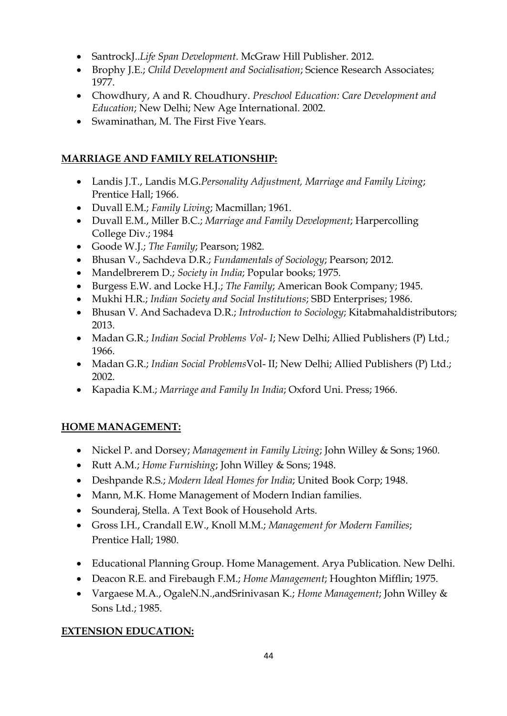- SantrockJ..*Life Span Development*. McGraw Hill Publisher. 2012.
- Brophy J.E.; *Child Development and Socialisation*; Science Research Associates; 1977.
- Chowdhury, A and R. Choudhury. *Preschool Education: Care Development and Education*; New Delhi; New Age International. 2002.
- Swaminathan, M. The First Five Years.

#### **MARRIAGE AND FAMILY RELATIONSHIP:**

- Landis J.T., Landis M.G.*Personality Adjustment, Marriage and Family Living*; Prentice Hall; 1966.
- Duvall E.M.; *Family Living*; Macmillan; 1961.
- Duvall E.M., Miller B.C.; *Marriage and Family Development*; Harpercolling College Div.; 1984
- Goode W.J.; *The Family*; Pearson; 1982.
- Bhusan V., Sachdeva D.R.; *Fundamentals of Sociology*; Pearson; 2012.
- Mandelbrerem D.; *Society in India*; Popular books; 1975.
- Burgess E.W. and Locke H.J.; *The Family*; American Book Company; 1945.
- Mukhi H.R.; *Indian Society and Social Institutions*; SBD Enterprises; 1986.
- Bhusan V. And Sachadeva D.R.; *Introduction to Sociology*; Kitabmahaldistributors; 2013.
- Madan G.R.; *Indian Social Problems Vol- I*; New Delhi; Allied Publishers (P) Ltd.; 1966.
- Madan G.R.; *Indian Social Problems*Vol- II; New Delhi; Allied Publishers (P) Ltd.; 2002.
- Kapadia K.M.; *Marriage and Family In India*; Oxford Uni. Press; 1966.

### **HOME MANAGEMENT:**

- Nickel P. and Dorsey; *Management in Family Living*; John Willey & Sons; 1960.
- Rutt A.M.; *Home Furnishing*; John Willey & Sons; 1948.
- Deshpande R.S.; *Modern Ideal Homes for India*; United Book Corp; 1948.
- Mann, M.K. Home Management of Modern Indian families.
- Sounderaj, Stella. A Text Book of Household Arts.
- Gross I.H., Crandall E.W., Knoll M.M.; *Management for Modern Families*; Prentice Hall; 1980.
- Educational Planning Group. Home Management. Arya Publication. New Delhi.
- Deacon R.E. and Firebaugh F.M.; *Home Management*; Houghton Mifflin; 1975.
- Vargaese M.A., OgaleN.N.,andSrinivasan K.; *Home Management*; John Willey & Sons Ltd.; 1985.

#### **EXTENSION EDUCATION:**